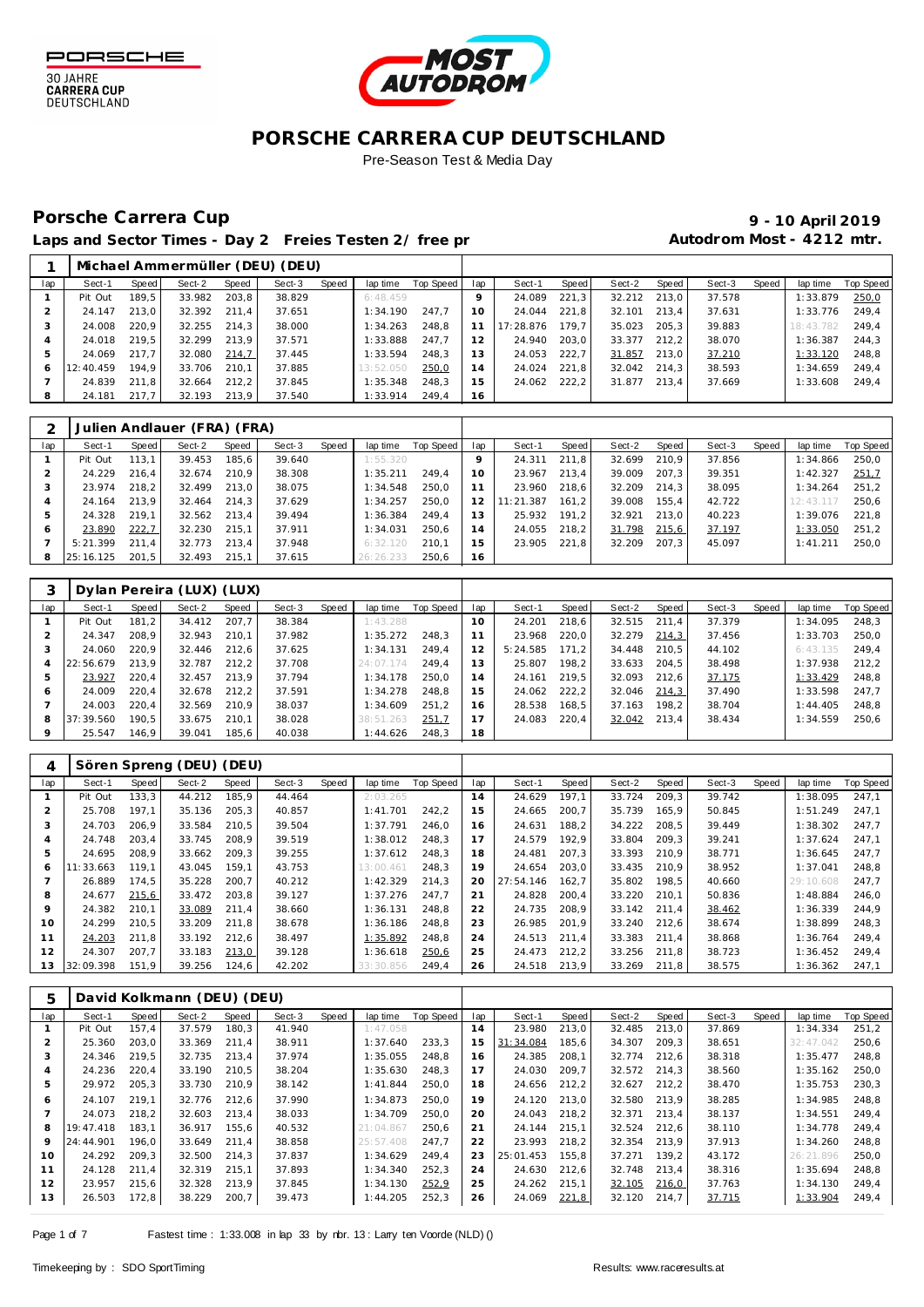



## Porsche Carrera Cup **10 April 2019 9 - 10 April 2019**

|              |           |       |        |       | Michael Ammermüller (DEU) (DEU) |       |           |           |                |           |       |        |       |        |       |           |           |
|--------------|-----------|-------|--------|-------|---------------------------------|-------|-----------|-----------|----------------|-----------|-------|--------|-------|--------|-------|-----------|-----------|
| lap          | Sect-1    | Speed | Sect-2 | Speed | Sect-3                          | Speed | lap time  | Top Speed | lap            | Sect-1    | Speed | Sect-2 | Speed | Sect-3 | Speed | lap time  | Top Speed |
|              | Pit Out   | 189.5 | 33.982 | 203.8 | 38.829                          |       | 6:48.459  |           | $\circ$        | 24.089    | 221.3 | 32.212 | 213.0 | 37.578 |       | 1:33.879  | 250,0     |
|              | 24.147    | 213.0 | 32.392 | 211.4 | 37.651                          |       | 1:34.190  | 247.7     | 10             | 24.044    | 221.8 | 32.101 | 213.4 | 37.631 |       | 1:33.776  | 249.4     |
|              | 24.008    | 220.9 | 32.255 | 214,3 | 38,000                          |       | 1:34.263  | 248.8     |                | 17:28.876 | 179.7 | 35.023 | 205.3 | 39.883 |       | 18:43.782 | 249.4     |
|              | 24.018    | 219.5 | 32.299 | 213.9 | 37.571                          |       | 1:33.888  | 247.7     | 2              | 24.940    | 203.0 | 33.377 | 212.2 | 38.070 |       | 1:36.387  | 244.3     |
|              | 24.069    | 217.7 | 32.080 | 214,7 | 37.445                          |       | 1:33.594  | 248.3     | 3              | 24.053    | 222.7 | 31.857 | 213.0 | 37.210 |       | 1:33.120  | 248.8     |
| <sub>6</sub> | 12:40.459 | 194.9 | 33.706 | 210.1 | 37.885                          |       | 13:52.050 | 250,0     | $\overline{4}$ | 24.024    | 221,8 | 32.042 | 214.3 | 38.593 |       | 1:34.659  | 249,4     |
|              | 24.839    | 211.8 | 32.664 | 212.2 | 37.845                          |       | 1:35.348  | 248.3     | 5              | 24.062    | 222.2 | 31.877 | 213.4 | 37.669 |       | 1:33.608  | 249.4     |
| 8            | 24.181    | 217.7 | 32.193 | 213.9 | 37.540                          |       | 1:33.914  | 249.4     | 16             |           |       |        |       |        |       |           |           |
|              |           |       |        |       |                                 |       |           |           |                |           |       |        |       |        |       |           |           |

|     |           |       | Julien Andlauer (FRA) (FRA) |       |        |       |           |           |     |           |       |        |       |        |       |           |           |
|-----|-----------|-------|-----------------------------|-------|--------|-------|-----------|-----------|-----|-----------|-------|--------|-------|--------|-------|-----------|-----------|
| lap | Sect-1    | Speed | Sect-2                      | Speed | Sect-3 | Speed | lap time  | Top Speed | lap | Sect-1    | Speed | Sect-2 | Speed | Sect-3 | Speed | lap time  | Top Speed |
|     | Pit Out   | 113.1 | 39.453                      | 185.6 | 39.640 |       | 1:55.320  |           |     | 24.311    | 211.8 | 32.699 | 210.9 | 37.856 |       | 1:34.866  | 250.0     |
|     | 24.229    | 216.4 | 32.674                      | 210.9 | 38.308 |       | 1:35.211  | 249.4     | 10  | 23.967    | 213.4 | 39.009 | 207.3 | 39.351 |       | 1:42.327  | 251,7     |
|     | 23.974    | 218.2 | 32.499                      | 213.0 | 38.075 |       | 1:34.548  | 250.0     |     | 23.960    | 218.6 | 32.209 | 214.3 | 38.095 |       | 1:34.264  | 251.2     |
|     | 24.164    | 213.9 | 32.464                      | 214.3 | 37.629 |       | 1:34.257  | 250.0     | 12  | 11:21.387 | 161.2 | 39.008 | 155.4 | 42.722 |       | 12:43.117 | 250.6     |
| ь   | 24.328    | 219.1 | 32.562                      | 213.4 | 39.494 |       | 1:36.384  | 249.4     | 13  | 25.932    | 191.2 | 32.921 | 213.0 | 40.223 |       | 1:39.076  | 221.8     |
| 6   | 23.890    | 222,7 | 32.230                      | 215.1 | 37.911 |       | 1:34.031  | 250.6     | 14  | 24.055    | 218.2 | 31.798 | 215,6 | 37.197 |       | 1:33.050  | 251.2     |
|     | 5:21.399  | 211.4 | 32.773                      | 213.4 | 37.948 |       | 6:32.120  | 210.1     | 15  | 23.905    | 221.8 | 32.209 | 207.3 | 45.097 |       | 1:41.211  | 250.0     |
| 8   | 25:16.125 | 201.5 | 32.493                      | 215.1 | 37.615 |       | 26:26.233 | 250.6     | 16  |           |       |        |       |        |       |           |           |

|                |           |       | Dylan Pereira (LUX) (LUX) |       |        |       |           |           |      |          |       |        |       |        |       |          |           |
|----------------|-----------|-------|---------------------------|-------|--------|-------|-----------|-----------|------|----------|-------|--------|-------|--------|-------|----------|-----------|
| lap            | Sect-1    | Speed | Sect-2                    | Speed | Sect-3 | Speed | lap time  | Top Speed | lap  | Sect-1   | Speed | Sect-2 | Speed | Sect-3 | Speed | lap time | Top Speed |
|                | Pit Out   | 181.2 | 34.412                    | 207.7 | 38.384 |       | 1:43.288  |           | 10   | 24.201   | 218.6 | 32.515 | 211.4 | 37.379 |       | 1:34.095 | 248.3     |
|                | 24.347    | 208.9 | 32.943                    | 210.1 | 37.982 |       | 1:35.272  | 248.3     |      | 23.968   | 220.0 | 32.279 | 214.3 | 37.456 |       | 1:33.703 | 250,0     |
|                | 24.060    | 220.9 | 32.446                    | 212.6 | 37.625 |       | 1:34.131  | 249.4     |      | 5:24.585 | 171.2 | 34.448 | 210.5 | 44.102 |       | 6:43.135 | 249.4     |
| $\overline{4}$ | 22:56.679 | 213.9 | 32.787                    | 212.2 | 37.708 |       | 24:07.174 | 249.4     | 3    | 25.807   | 198.2 | 33.633 | 204.5 | 38.498 |       | 1:37.938 | 212.2     |
|                | 23.927    | 220.4 | 32.457                    | 213.9 | 37.794 |       | 1:34.178  | 250.0     | 4    | 24.161   | 219.5 | 32.093 | 212.6 | 37.175 |       | 1:33.429 | 248.8     |
| 6              | 24.009    | 220.4 | 32.678                    | 212.2 | 37.591 |       | 1:34.278  | 248.8     | i 5. | 24.062   | 222,2 | 32.046 | 214,3 | 37.490 |       | 1:33.598 | 247.7     |
|                | 24.003    | 220.4 | 32.569                    | 210.9 | 38.037 |       | 1:34.609  | 251.2     | 6    | 28.538   | 168.5 | 37.163 | 198.2 | 38.704 |       | 1:44.405 | 248.8     |
| 8              | 37:39.560 | 190.5 | 33.675                    | 210.1 | 38.028 |       | 38:51.263 | 251,7     |      | 24.083   | 220.4 | 32.042 | 213.4 | 38.434 |       | 1:34.559 | 250,6     |
|                | 25.547    | 146.9 | 39.041                    | 185.6 | 40.038 |       | 1:44.626  | 248.3     | 18   |          |       |        |       |        |       |          |           |

|     |           |       | Sören Spreng (DEU) | (DEU) |        |       |           |           |     |           |       |        |       |        |       |                |           |
|-----|-----------|-------|--------------------|-------|--------|-------|-----------|-----------|-----|-----------|-------|--------|-------|--------|-------|----------------|-----------|
| lap | Sect-1    | Speed | Sect-2             | Speed | Sect-3 | Speed | lap time  | Top Speed | lap | Sect-1    | Speed | Sect-2 | Speed | Sect-3 | Speed | lap time       | Top Speed |
|     | Pit Out   | 133,3 | 44.212             | 185.9 | 44.464 |       | 2:03.265  |           | 14  | 24.629    | 197.1 | 33.724 | 209.3 | 39.742 |       | 1:38.095       | 247.1     |
|     | 25.708    | 197.1 | 35.136             | 205,3 | 40.857 |       | 1: 41.701 | 242.2     | 15  | 24.665    | 200.7 | 35.739 | 165.9 | 50.845 |       | 1:51.249       | 247.1     |
|     | 24.703    | 206.9 | 33.584             | 210.5 | 39.504 |       | 1:37.791  | 246.0     | 16  | 24.631    | 188.2 | 34.222 | 208.5 | 39.449 |       | 1:38.302       | 247.7     |
|     | 24.748    | 203.4 | 33.745             | 208.9 | 39.519 |       | 1:38.012  | 248.3     |     | 24.579    | 192.9 | 33.804 | 209.3 | 39.241 |       | 1:37.624       | 247,1     |
| 5   | 24.695    | 208.9 | 33.662             | 209.3 | 39.255 |       | 1:37.612  | 248.3     | 18  | 24.481    | 207.3 | 33.393 | 210.9 | 38.771 |       | 1:36.645       | 247.7     |
| Ô   | : 33.663  | 119.1 | 43.045             | 159.1 | 43.753 |       | 13:00.461 | 248.3     | 19  | 24.654    | 203.0 | 33.435 | 210.9 | 38.952 |       | 1:37.041       | 248,8     |
|     | 26.889    | 174,5 | 35.228             | 200,7 | 40.212 |       | 1:42.329  | 214.3     | 20  | 27:54.146 | 162.7 | 35.802 | 198.5 | 40.660 |       | 29:10.<br>.608 | 247,7     |
| 8   | 24.677    | 215,6 | 33.472             | 203.8 | 39.127 |       | 1:37.276  | 247.7     | 21  | 24.828    | 200.4 | 33.220 | 210.1 | 50.836 |       | 1:48.884       | 246.0     |
| q   | 24.382    | 210.1 | 33.089             | 211.4 | 38.660 |       | 1:36.131  | 248.8     | 22  | 24.735    | 208.9 | 33.142 | 211.4 | 38.462 |       | 1:36.339       | 244.9     |
| 10  | 24.299    | 210.5 | 33.209             | 211.8 | 38.678 |       | 1:36.186  | 248.8     | 23  | 26.985    | 201.9 | 33.240 | 212.6 | 38.674 |       | 1:38.899       | 248.3     |
| 11  | 24.203    | 211.8 | 33.192             | 212.6 | 38.497 |       | 1:35.892  | 248.8     | 24  | 24.513    | 211.4 | 33.383 | 211.4 | 38.868 |       | 1:36.764       | 249.4     |
| 12  | 24.307    | 207.7 | 33.183             | 213,0 | 39.128 |       | 1:36.618  | 250,6     | 25  | 24.473    | 212.2 | 33.256 | 211.8 | 38.723 |       | 1:36.452       | 249.4     |
| 13  | 32:09.398 | 151,9 | 39.256             | 124,6 | 42.202 |       | 33:30.856 | 249,4     | 26  | 24.518    | 213,9 | 33.269 | 211,8 | 38.575 |       | 1:36.362       | 247,1     |

| 5   |           |       | David Kolkmann (DEU) (DEU) |       |        |       |           |           |     |           |       |        |       |        |       |           |                  |
|-----|-----------|-------|----------------------------|-------|--------|-------|-----------|-----------|-----|-----------|-------|--------|-------|--------|-------|-----------|------------------|
| lap | Sect-1    | Speed | Sect-2                     | Speed | Sect-3 | Speed | lap time  | Top Speed | lap | Sect-1    | Speed | Sect-2 | Speed | Sect-3 | Speed | lap time  | <b>Top Speed</b> |
|     | Pit Out   | 157.4 | 37.579                     | 180.3 | 41.940 |       | 1:47.058  |           | 14  | 23.980    | 213.0 | 32.485 | 213.0 | 37.869 |       | 1:34.334  | 251.2            |
|     | 25.360    | 203.0 | 33.369                     | 211.4 | 38.911 |       | 1:37.640  | 233.3     | 15  | 31:34.084 | 185,6 | 34.307 | 209.3 | 38.651 |       | 32:47.042 | 250,6            |
| 3   | 24.346    | 219.5 | 32.735                     | 213.4 | 37.974 |       | 1:35.055  | 248.8     | 16  | 24.385    | 208.1 | 32.774 | 212.6 | 38.318 |       | 1:35.477  | 248.8            |
|     | 24.236    | 220.4 | 33.190                     | 210.5 | 38.204 |       | 1:35.630  | 248.3     | 17  | 24.030    | 209,7 | 32.572 | 214,3 | 38.560 |       | 1:35.162  | 250,0            |
| 5   | 29.972    | 205,3 | 33.730                     | 210.9 | 38.142 |       | 1:41.844  | 250.0     | 18  | 24.656    | 212,2 | 32.627 | 212,2 | 38.470 |       | 1:35.753  | 230,3            |
| 6   | 24.107    | 219.1 | 32.776                     | 212.6 | 37.990 |       | 1:34.873  | 250.0     | 19  | 24.120    | 213.0 | 32.580 | 213.9 | 38.285 |       | 1:34.985  | 248.8            |
|     | 24.073    | 218,2 | 32.603                     | 213,4 | 38.033 |       | 1:34.709  | 250.0     | 20  | 24.043    | 218,2 | 32.371 | 213,4 | 38.137 |       | 1:34.551  | 249.4            |
| 8   | 19:47.418 | 183.1 | 36.917                     | 155.6 | 40.532 |       | 21:04.867 | 250.6     | 21  | 24.144    | 215.1 | 32.524 | 212.6 | 38.110 |       | 1:34.778  | 249.4            |
| 9   | 24:44.901 | 196.0 | 33.649                     | 211,4 | 38.858 |       | 25:57.408 | 247.7     | 22  | 23.993    | 218,2 | 32.354 | 213.9 | 37.913 |       | 1:34.260  | 248,8            |
| 10  | 24.292    | 209.3 | 32.500                     | 214.3 | 37.837 |       | 1:34.629  | 249.4     | 23  | 25:01.453 | 155.8 | 37.271 | 139.2 | 43.172 |       | 26:21.896 | 250.0            |
| 11  | 24.128    | 211.4 | 32.319                     | 215.1 | 37.893 |       | 1:34.340  | 252.3     | 24  | 24.630    | 212.6 | 32.748 | 213.4 | 38.316 |       | 1:35.694  | 248.8            |
| 12  | 23.957    | 215,6 | 32.328                     | 213,9 | 37.845 |       | 1:34.130  | 252,9     | 25  | 24.262    | 215,1 | 32.105 | 216,0 | 37.763 |       | 1:34.130  | 249,4            |
| 13  | 26.503    | 172,8 | 38.229                     | 200,7 | 39.473 |       | 1:44.205  | 252,3     | 26  | 24.069    | 221,8 | 32.120 | 214,7 | 37.715 |       | 1:33.904  | 249,4            |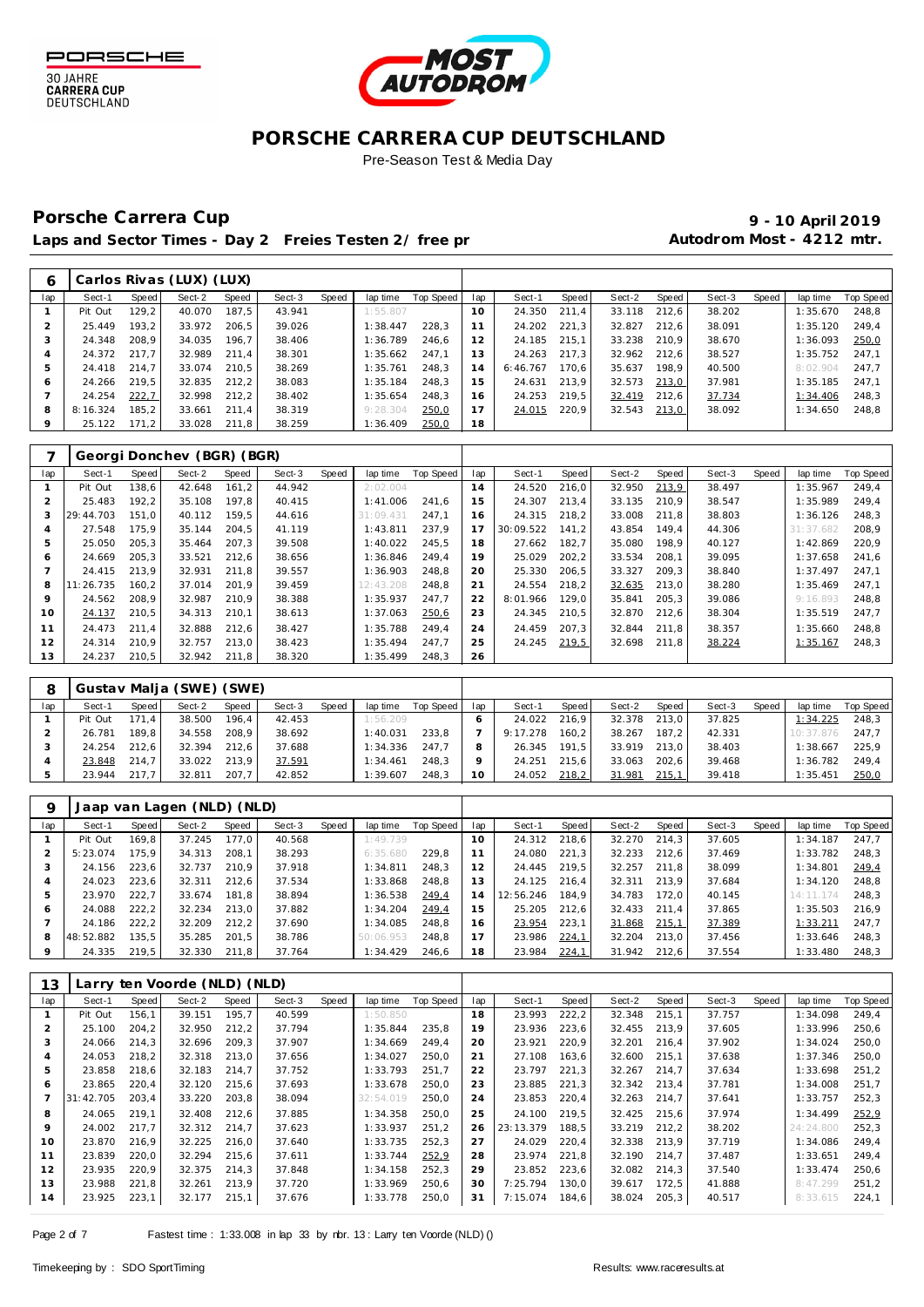



## Porsche Carrera Cup **10 April 2019 9 - 10 April 2019**

|     |          |        | Carlos Rivas (LUX) (LUX) |       |        |       |          |           |     |          |       |        |       |        |       |          |           |
|-----|----------|--------|--------------------------|-------|--------|-------|----------|-----------|-----|----------|-------|--------|-------|--------|-------|----------|-----------|
| lap | Sect-1   | Speed  | Sect-2                   | Speed | Sect-3 | Speed | lap time | Top Speed | lap | Sect-1   | Speed | Sect-2 | Speed | Sect-3 | Speed | lap time | Top Speed |
|     | Pit Out  | 129.2  | 40.070                   | 187.5 | 43.941 |       | 1:55.807 |           | 10  | 24.350   | 211.4 | 33.118 | 212.6 | 38.202 |       | 1:35.670 | 248.8     |
|     | 25.449   | 193.2  | 33.972                   | 206.5 | 39.026 |       | 1:38.447 | 228.3     | 11  | 24.202   | 221.3 | 32.827 | 212.6 | 38.091 |       | 1:35.120 | 249.4     |
| 3   | 24.348   | 208.9  | 34.035                   | 196.7 | 38.406 |       | 1:36.789 | 246.6     | 12  | 24.185   | 215.1 | 33.238 | 210.9 | 38.670 |       | 1:36.093 | 250,0     |
|     | 24.372   | 217.7  | 32.989                   | 211.4 | 38.301 |       | 1:35.662 | 247.1     | 13  | 24.263   | 217.3 | 32.962 | 212.6 | 38.527 |       | 1:35.752 | 247.1     |
| 5   | 24.418   | 214.7  | 33.074                   | 210.5 | 38.269 |       | 1:35.761 | 248.3     | 14  | 6:46.767 | 170.6 | 35.637 | 198.9 | 40.500 |       | 8:02.904 | 247.7     |
| 6   | 24.266   | 219.5  | 32.835                   | 212.2 | 38.083 |       | 1:35.184 | 248.3     | 15  | 24.631   | 213.9 | 32.573 | 213,0 | 37.981 |       | 1:35.185 | 247.1     |
|     | 24.254   | 222.7  | 32.998                   | 212.2 | 38.402 |       | 1:35.654 | 248.3     | 16  | 24.253   | 219.5 | 32.419 | 212.6 | 37.734 |       | 1:34.406 | 248.3     |
| 8   | 8:16.324 | 185.2  | 33.661                   | 211.4 | 38.319 |       | 9:28.304 | 250,0     | 17  | 24.015   | 220.9 | 32.543 | 213,0 | 38.092 |       | 1:34.650 | 248.8     |
| 9   | 25.122   | 171, 2 | 33.028                   | 211,8 | 38.259 |       | 1:36.409 | 250,0     | 18  |          |       |        |       |        |       |          |           |

|     |           |       | Georgi Donchev (BGR) (BGR) |       |        |       |           |           |     |           |       |        |       |        |       |           |           |
|-----|-----------|-------|----------------------------|-------|--------|-------|-----------|-----------|-----|-----------|-------|--------|-------|--------|-------|-----------|-----------|
| lap | Sect-1    | Speed | Sect-2                     | Speed | Sect-3 | Speed | lap time  | Top Speed | lap | Sect-1    | Speed | Sect-2 | Speed | Sect-3 | Speed | lap time  | Top Speed |
|     | Pit Out   | 138.6 | 42.648                     | 161.2 | 44.942 |       | 2:02.004  |           | 14  | 24.520    | 216,0 | 32.950 | 213,9 | 38.497 |       | 1:35.967  | 249,4     |
|     | 25.483    | 192,2 | 35.108                     | 197,8 | 40.415 |       | 1:41.006  | 241.6     | 15  | 24.307    | 213,4 | 33.135 | 210.9 | 38.547 |       | 1:35.989  | 249,4     |
|     | 29:44.703 | 151.0 | 40.112                     | 159.5 | 44.616 |       | 31:09.431 | 247.1     | 16  | 24.315    | 218,2 | 33.008 | 211.8 | 38.803 |       | 1:36.126  | 248,3     |
| 4   | 27.548    | 175.9 | 35.144                     | 204,5 | 41.119 |       | 1:43.811  | 237.9     | 17  | 30:09.522 | 141.2 | 43.854 | 149.4 | 44.306 |       | 31:37.682 | 208,9     |
| 5   | 25.050    | 205.3 | 35.464                     | 207,3 | 39.508 |       | 1:40.022  | 245.5     | 18  | 27.662    | 182,7 | 35.080 | 198.9 | 40.127 |       | 1:42.869  | 220,9     |
| 6   | 24.669    | 205.3 | 33.521                     | 212,6 | 38.656 |       | 1:36.846  | 249.4     | 19  | 25.029    | 202,2 | 33.534 | 208.1 | 39.095 |       | 1:37.658  | 241,6     |
|     | 24.415    | 213.9 | 32.931                     | 211.8 | 39.557 |       | 1:36.903  | 248.8     | 20  | 25.330    | 206,5 | 33.327 | 209.3 | 38.840 |       | 1:37.497  | 247,1     |
| 8   | 11:26.735 | 160.2 | 37.014                     | 201.9 | 39.459 |       | 12:43.208 | 248.8     | 21  | 24.554    | 218,2 | 32.635 | 213.0 | 38.280 |       | 1:35.469  | 247,1     |
| 9   | 24.562    | 208.9 | 32.987                     | 210.9 | 38.388 |       | 1:35.937  | 247.7     | 22  | 8:01.966  | 129,0 | 35.841 | 205.3 | 39.086 |       | 9:16.893  | 248,8     |
| 10  | 24.137    | 210,5 | 34.313                     | 210,1 | 38.613 |       | 1:37.063  | 250,6     | 23  | 24.345    | 210,5 | 32.870 | 212,6 | 38.304 |       | 1:35.519  | 247,7     |
| 11  | 24.473    | 211.4 | 32.888                     | 212.6 | 38.427 |       | 1:35.788  | 249.4     | 24  | 24.459    | 207.3 | 32.844 | 211.8 | 38.357 |       | 1:35.660  | 248,8     |
| 12  | 24.314    | 210.9 | 32.757                     | 213.0 | 38.423 |       | 1:35.494  | 247.7     | 25  | 24.245    | 219,5 | 32.698 | 211.8 | 38.224 |       | 1:35.167  | 248,3     |
| 13  | 24.237    | 210,5 | 32.942                     | 211.8 | 38.320 |       | 1:35.499  | 248,3     | 26  |           |       |        |       |        |       |           |           |

|     |         |         | Gustav Malja (SWE) (SWE) |       |        |       |          |           |     |          |       |        |       |        |       |           |           |
|-----|---------|---------|--------------------------|-------|--------|-------|----------|-----------|-----|----------|-------|--------|-------|--------|-------|-----------|-----------|
| lap | Sect-1  | Speed I | Sect-2                   | Speed | Sect-3 | Speed | lap time | Top Speed | lap | Sect-1   | Speed | Sect-2 | Speed | Sect-3 | Speed | lap time  | Top Speed |
|     | Pit Out | 171.4   | 38.500                   | 196.4 | 42.453 |       | 1:56.209 |           |     | 24.022   | 216.9 | 32.378 | 213.0 | 37.825 |       | 1:34.225  | 248,3     |
|     | 26.781  | 189.8   | 34.558                   | 208.9 | 38.692 |       | 1:40.031 | 233.8     |     | 9:17.278 | 160.2 | 38.267 | 187.2 | 42.331 |       | 10:37.876 | 247.7     |
|     | 24.254  | 212.6   | 32.394                   | 212.6 | 37.688 |       | 1:34.336 | 247.7     |     | 26.345   | 191.5 | 33.919 | 213.0 | 38.403 |       | 1:38.667  | 225.9     |
|     | 23.848  | 214.7   | 33.022                   | 213.9 | 37.591 |       | 1:34.461 | 248.3     |     | 24.251   | 215.6 | 33.063 | 202.6 | 39.468 |       | 1:36.782  | 249.4     |
|     | 23.944  | 217.7   | 32.811                   | 207,7 | 42.852 |       | 1:39.607 | 248,3     |     | 24.052   | 218,2 | 31.981 | 215,1 | 39.418 |       | 1:35.451  | 250,0     |

|     |           |       | Jaap van Lagen (NLD) (NLD) |       |        |       |           |           |                |           |       |        |       |        |       |           |           |
|-----|-----------|-------|----------------------------|-------|--------|-------|-----------|-----------|----------------|-----------|-------|--------|-------|--------|-------|-----------|-----------|
| lap | Sect-1    | Speed | Sect-2                     | Speed | Sect-3 | Speed | lap time  | Top Speed | lap            | Sect-1    | Speed | Sect-2 | Speed | Sect-3 | Speed | lap time  | Top Speed |
|     | Pit Out   | 169.8 | 37.245                     | 177.0 | 40.568 |       | 1:49.739  |           | $10^{-}$       | 24.312    | 218.6 | 32.270 | 214.3 | 37.605 |       | 1:34.187  | 247,7     |
|     | 5:23.074  | 175.9 | 34.313                     | 208.1 | 38.293 |       | 6:35.680  | 229.8     |                | 24.080    | 221.3 | 32.233 | 212.6 | 37.469 |       | 1:33.782  | 248.3     |
|     | 24.156    | 223.6 | 32.737                     | 210.9 | 37.918 |       | 1:34.811  | 248.3     | 12             | 24.445    | 219.5 | 32.257 | 211.8 | 38.099 |       | 1:34.801  | 249,4     |
|     | 24.023    | 223.6 | 32.311                     | 212.6 | 37.534 |       | 1:33.868  | 248.8     | 13             | 24.125    | 216.4 | 32.311 | 213.9 | 37.684 |       | 1:34.120  | 248.8     |
| 5   | 23.970    | 222.7 | 33.674                     | 181.8 | 38.894 |       | 1:36.538  | 249,4     | $\overline{4}$ | 12:56.246 | 184.9 | 34.783 | 172.0 | 40.145 |       | 14:11.174 | 248.3     |
| 6   | 24.088    | 222.2 | 32.234                     | 213.0 | 37.882 |       | 1:34.204  | 249,4     | 5              | 25.205    | 212.6 | 32.433 | 211.4 | 37.865 |       | 1:35.503  | 216.9     |
|     | 24.186    | 222.2 | 32.209                     | 212.2 | 37.690 |       | 1:34.085  | 248.8     | 16             | 23.954    | 223,1 | 31.868 | 215,1 | 37.389 |       | 1:33.211  | 247.7     |
| 8   | 48:52.882 | 135.5 | 35.285                     | 201.5 | 38.786 |       | 50:06.953 | 248.8     | $\overline{7}$ | 23.986    | 224,1 | 32.204 | 213.0 | 37.456 |       | 1:33.646  | 248.3     |
| 9   | 24.335    | 219.5 | 32.330                     | 211.8 | 37.764 |       | 1:34.429  | 246.6     | 18             | 23.984    | 224,1 | 31.942 | 212.6 | 37.554 |       | 1:33.480  | 248,3     |

| 13  |           |       | Larry ten Voorde (NLD) (NLD) |       |        |       |           |                  |     |           |       |        |        |        |       |           |           |
|-----|-----------|-------|------------------------------|-------|--------|-------|-----------|------------------|-----|-----------|-------|--------|--------|--------|-------|-----------|-----------|
| lap | Sect-1    | Speed | Sect-2                       | Speed | Sect-3 | Speed | lap time  | <b>Top Speed</b> | lap | Sect-1    | Speed | Sect-2 | Speed  | Sect-3 | Speed | lap time  | Top Speed |
|     | Pit Out   | 156.1 | 39.151                       | 195,7 | 40.599 |       | 1:50.850  |                  | 18  | 23.993    | 222,2 | 32.348 | 215,1  | 37.757 |       | 1:34.098  | 249,4     |
|     | 25.100    | 204.2 | 32.950                       | 212,2 | 37.794 |       | 1:35.844  | 235.8            | 19  | 23.936    | 223,6 | 32.455 | 213.9  | 37.605 |       | 1:33.996  | 250,6     |
|     | 24.066    | 214.3 | 32.696                       | 209.3 | 37.907 |       | 1:34.669  | 249.4            | 20  | 23.921    | 220,9 | 32.201 | 216.4  | 37.902 |       | 1:34.024  | 250,0     |
|     | 24.053    | 218,2 | 32.318                       | 213,0 | 37.656 |       | 1:34.027  | 250.0            | 21  | 27.108    | 163,6 | 32.600 | 215.1  | 37.638 |       | 1:37.346  | 250,0     |
| 5   | 23.858    | 218.6 | 32.183                       | 214.7 | 37.752 |       | 1:33.793  | 251.7            | 22  | 23.797    | 221,3 | 32.267 | 214.7  | 37.634 |       | 1:33.698  | 251.2     |
| 6   | 23.865    | 220.4 | 32.120                       | 215.6 | 37.693 |       | 1:33.678  | 250.0            | 23  | 23.885    | 221,3 | 32.342 | 213.4  | 37.781 |       | 1:34.008  | 251.7     |
|     | 31:42.705 | 203.4 | 33.220                       | 203,8 | 38.094 |       | 32:54.019 | 250.0            | 24  | 23.853    | 220,4 | 32.263 | 214,7  | 37.641 |       | 1:33.757  | 252,3     |
| 8   | 24.065    | 219.1 | 32.408                       | 212,6 | 37.885 |       | 1:34.358  | 250.0            | 25  | 24.100    | 219.5 | 32.425 | 215.6  | 37.974 |       | 1:34.499  | 252,9     |
| 9   | 24.002    | 217.7 | 32.312                       | 214.7 | 37.623 |       | 1:33.937  | 251.2            | 26  | 23:13.379 | 188,5 | 33.219 | 212.2  | 38.202 |       | 24:24.800 | 252,3     |
| 10  | 23.870    | 216.9 | 32.225                       | 216,0 | 37.640 |       | 1:33.735  | 252,3            | 27  | 24.029    | 220,4 | 32.338 | 213,9  | 37.719 |       | 1:34.086  | 249,4     |
| 11  | 23.839    | 220.0 | 32.294                       | 215,6 | 37.611 |       | 1:33.744  | 252,9            | 28  | 23.974    | 221,8 | 32.190 | 214.7  | 37.487 |       | 1:33.651  | 249.4     |
| 12  | 23.935    | 220,9 | 32.375                       | 214,3 | 37.848 |       | 1:34.158  | 252,3            | 29  | 23.852    | 223,6 | 32.082 | 214,3  | 37.540 |       | 1:33.474  | 250,6     |
| 13  | 23.988    | 221,8 | 32.261                       | 213,9 | 37.720 |       | 1:33.969  | 250.6            | 30  | 7:25.794  | 130,0 | 39.617 | 172,5  | 41.888 |       | 8:47.299  | 251,2     |
| 14  | 23.925    | 223,1 | 32.177                       | 215,1 | 37.676 |       | 1:33.778  | 250.0            | 31  | 7:15.074  | 184,6 | 38.024 | 205, 3 | 40.517 |       | 8:33.615  | 224,1     |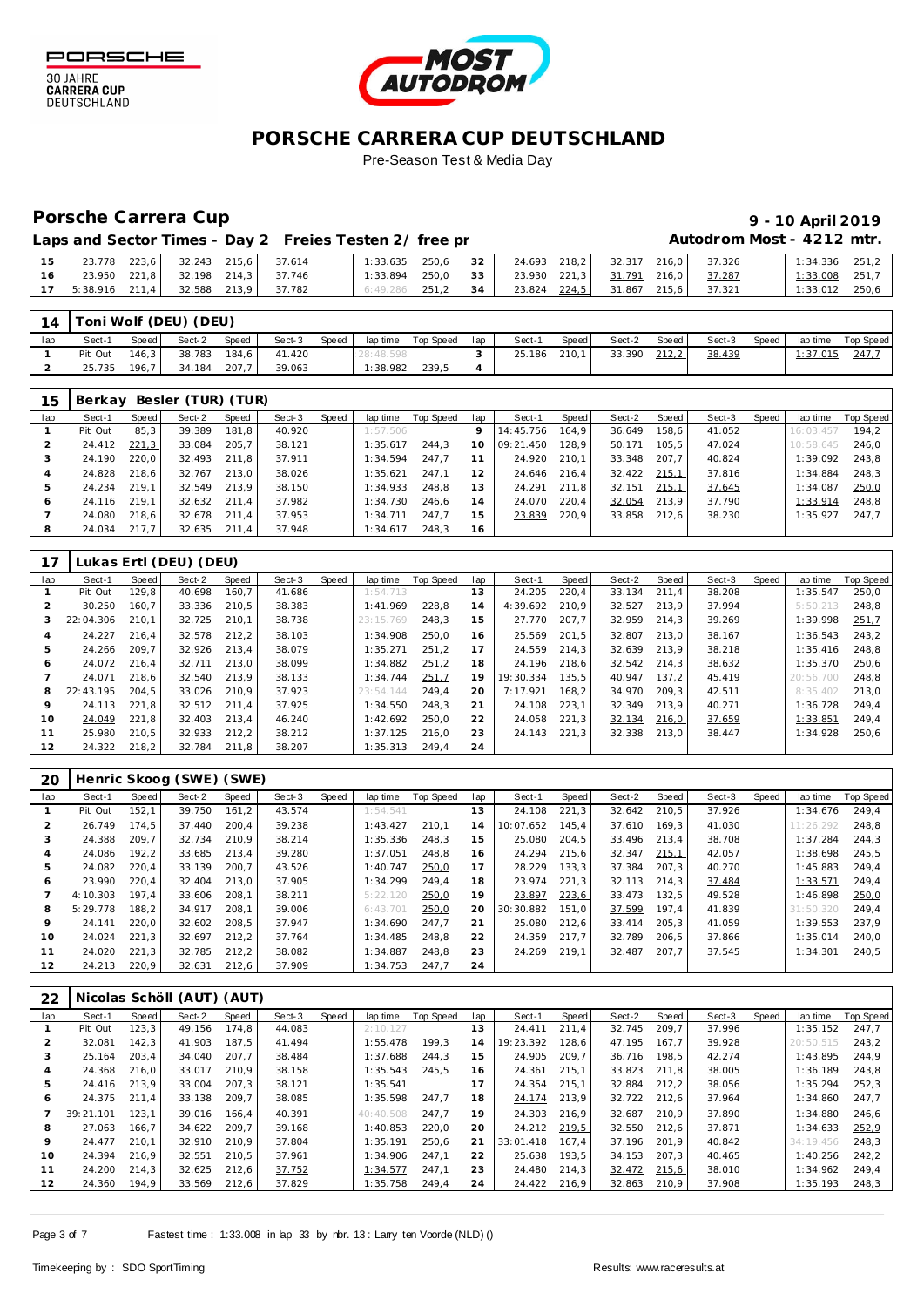



## Porsche Carrera Cup **10 April 2019 9 - 10 April 2019 st - 4212 mtr.**

 24.693 218,2 32.317 216,0 37.326 1:34.336 251,2 1:33.008 251,7<br>1:33.012 250,6  $\overline{1:33.012}$ 

|                                       |  | Laps and Sector Times - Day 2 Freies Testen 2/ free pr                                                 |                                                            |  |  |  | Autodrom Mos |
|---------------------------------------|--|--------------------------------------------------------------------------------------------------------|------------------------------------------------------------|--|--|--|--------------|
|                                       |  | 15   23.778 223,6   32.243 215,6   37.614   1:33.635 250,6   32   24.693 218,2   32.317 216,0   37.326 |                                                            |  |  |  |              |
| 16 23.950 221,8 32.198 214,3 37.746   |  |                                                                                                        | 1:33.894 250,0   33   23.930 221,3   31.791 216,0   37.287 |  |  |  |              |
| 17 5:38.916 211,4 32.588 213,9 37.782 |  |                                                                                                        | 6:49.286 251,2 34 23.824 224,5 31.867 215,6 37.321         |  |  |  |              |

| 14  |         |         | Toni Wolf (DEU) (DEU) |       |        |       |           |           |     |        |       |        |       |        |       |                 |           |
|-----|---------|---------|-----------------------|-------|--------|-------|-----------|-----------|-----|--------|-------|--------|-------|--------|-------|-----------------|-----------|
| lap | Sect-1  | Speed I | Sect-2                | Speed | Sect-3 | Speed | lap time  | Top Speed | lap | Sect-1 | Speed | Sect-2 | Speed | Sect-3 | Speed | lap time        | Top Speed |
|     | Pit Out | 146.3   | 38.783                | 184.6 | 41.420 |       | 28:48.598 |           |     | 25.186 | 210.1 | 33.390 | 212,2 | 38.439 |       | <u>1:37.015</u> | 247.      |
|     | 25.735  | 196.7   | 34.184                | 207.7 | 39.063 |       | 1:38.982  | 239.5     |     |        |       |        |       |        |       |                 |           |

| 15  | Berkay  |       | Besler (TUR) (TUR) |       |        |       |          |           |     |           |       |        |       |        |       |           |           |
|-----|---------|-------|--------------------|-------|--------|-------|----------|-----------|-----|-----------|-------|--------|-------|--------|-------|-----------|-----------|
| lap | Sect-1  | Speed | Sect-2             | Speed | Sect-3 | Speed | lap time | Top Speed | lap | Sect-1    | Speed | Sect-2 | Speed | Sect-3 | Speed | lap time  | Top Speed |
|     | Pit Out | 85,3  | 39.389             | 181.8 | 40.920 |       | 1:57.506 |           |     | 14:45.756 | 164.9 | 36.649 | 158.6 | 41.052 |       | 16:03.457 | 194.2     |
|     | 24.412  | 221,3 | 33.084             | 205.7 | 38.121 |       | 1:35.617 | 244.3     | 10  | 09:21.450 | 128.9 | 50.171 | 105.5 | 47.024 |       | 10:58.645 | 246.0     |
|     | 24.190  | 220.0 | 32.493             | 211.8 | 37.911 |       | 1:34.594 | 247.7     |     | 24.920    | 210.1 | 33.348 | 207.7 | 40.824 |       | 1:39.092  | 243.8     |
|     | 24.828  | 218,6 | 32.767             | 213.0 | 38.026 |       | 1:35.621 | 247.1     |     | 24.646    | 216.4 | 32.422 | 215.1 | 37.816 |       | 1:34.884  | 248.3     |
| ь   | 24.234  | 219.1 | 32.549             | 213,9 | 38.150 |       | 1:34.933 | 248.8     | 13  | 24.291    | 211,8 | 32.151 | 215,1 | 37.645 |       | 1:34.087  | 250,0     |
| 6   | 24.116  | 219.1 | 32.632             | 211.4 | 37.982 |       | 1:34.730 | 246.6     | 14  | 24.070    | 220.4 | 32.054 | 213.9 | 37.790 |       | 1:33.914  | 248.8     |
|     | 24.080  | 218.6 | 32.678             | 211.4 | 37.953 |       | 1:34.711 | 247.7     | 15  | 23.839    | 220,9 | 33.858 | 212.6 | 38.230 |       | 1:35.927  | 247.7     |
| 8   | 24.034  | 217.7 | 32.635             | 211.4 | 37.948 |       | 1:34.617 | 248.3     | 16  |           |       |        |       |        |       |           |           |

| 17  |           |       | Lukas Ertl (DEU) (DEU) |       |        |       |           |           |     |           |       |        |       |        |       |           |           |
|-----|-----------|-------|------------------------|-------|--------|-------|-----------|-----------|-----|-----------|-------|--------|-------|--------|-------|-----------|-----------|
| lap | Sect-1    | Speed | Sect-2                 | Speed | Sect-3 | Speed | lap time  | Top Speed | lap | Sect-1    | Speed | Sect-2 | Speed | Sect-3 | Speed | lap time  | Top Speed |
|     | Pit Out   | 129.8 | 40.698                 | 160.7 | 41.686 |       | 1:54.713  |           | 13  | 24.205    | 220,4 | 33.134 | 211.4 | 38.208 |       | 1:35.547  | 250,0     |
|     | 30.250    | 160.7 | 33.336                 | 210.5 | 38.383 |       | 1:41.969  | 228.8     | 14  | 4:39.692  | 210.9 | 32.527 | 213.9 | 37.994 |       | 5:50.213  | 248.8     |
| 3   | 22:04.306 | 210.1 | 32.725                 | 210.1 | 38.738 |       | 23:15.769 | 248.3     | 15  | 27.770    | 207.7 | 32.959 | 214.3 | 39.269 |       | 1:39.998  | 251,7     |
|     | 24.227    | 216.4 | 32.578                 | 212.2 | 38.103 |       | 1:34.908  | 250.0     | 16  | 25.569    | 201.5 | 32.807 | 213.0 | 38.167 |       | 1:36.543  | 243.2     |
| 5   | 24.266    | 209.7 | 32.926                 | 213.4 | 38.079 |       | 1:35.271  | 251.2     |     | 24.559    | 214.3 | 32.639 | 213.9 | 38.218 |       | 1:35.416  | 248.8     |
| 6   | 24.072    | 216.4 | 32.711                 | 213,0 | 38.099 |       | 1:34.882  | 251.2     | 18  | 24.196    | 218,6 | 32.542 | 214.3 | 38.632 |       | 1:35.370  | 250,6     |
|     | 24.071    | 218.6 | 32.540                 | 213.9 | 38.133 |       | 1:34.744  | 251,7     | 19  | 19:30.334 | 135.5 | 40.947 | 137.2 | 45.419 |       | 20:56.700 | 248.8     |
| 8   | 22:43.195 | 204.5 | 33.026                 | 210.9 | 37.923 |       | 23:54.144 | 249.4     | 20  | 7:17.921  | 168.2 | 34.970 | 209.3 | 42.511 |       | 8:35.402  | 213,0     |
| 9   | 24.113    | 221.8 | 32.512                 | 211.4 | 37.925 |       | 1:34.550  | 248.3     | 21  | 24.108    | 223,1 | 32.349 | 213.9 | 40.271 |       | 1:36.728  | 249.4     |
| 10  | 24.049    | 221.8 | 32.403                 | 213.4 | 46.240 |       | 1:42.692  | 250.0     | 22  | 24.058    | 221,3 | 32.134 | 216,0 | 37.659 |       | 1:33.851  | 249,4     |
| 11  | 25.980    | 210.5 | 32.933                 | 212,2 | 38.212 |       | 1:37.125  | 216.0     | 23  | 24.143    | 221,3 | 32.338 | 213.0 | 38.447 |       | 1:34.928  | 250.6     |
| 12  | 24.322    | 218,2 | 32.784                 | 211,8 | 38.207 |       | 1:35.313  | 249.4     | 24  |           |       |        |       |        |       |           |           |

| 20  |          |       | Henric Skoog (SWE) (SWE) |       |        |       |          |           |     |           |       |        |       |        |       |           |           |
|-----|----------|-------|--------------------------|-------|--------|-------|----------|-----------|-----|-----------|-------|--------|-------|--------|-------|-----------|-----------|
| lap | Sect-1   | Speed | Sect-2                   | Speed | Sect-3 | Speed | lap time | Top Speed | lap | Sect-1    | Speed | Sect-2 | Speed | Sect-3 | Speed | lap time  | Top Speed |
|     | Pit Out  | 152.1 | 39.750                   | 161.2 | 43.574 |       | 1:54.541 |           | 13  | 24.108    | 221.3 | 32.642 | 210.5 | 37.926 |       | 1:34.676  | 249.4     |
|     | 26.749   | 174.5 | 37.440                   | 200.4 | 39.238 |       | 1:43.427 | 210.1     | 14  | 10:07.652 | 145.4 | 37.610 | 169.3 | 41.030 |       | 11:26.292 | 248.8     |
|     | 24.388   | 209.7 | 32.734                   | 210.9 | 38.214 |       | 1:35.336 | 248.3     | 15  | 25.080    | 204.5 | 33.496 | 213.4 | 38.708 |       | 1:37.284  | 244.3     |
| 4   | 24.086   | 192.2 | 33.685                   | 213.4 | 39.280 |       | 1:37.051 | 248.8     | 16  | 24.294    | 215.6 | 32.347 | 215,1 | 42.057 |       | 1:38.698  | 245.5     |
| 5   | 24.082   | 220.4 | 33.139                   | 200.7 | 43.526 |       | 1:40.747 | 250,0     |     | 28.229    | 133.3 | 37.384 | 207.3 | 40.270 |       | 1:45.883  | 249.4     |
| 6   | 23.990   | 220.4 | 32.404                   | 213.0 | 37.905 |       | 1:34.299 | 249.4     | 18  | 23.974    | 221,3 | 32.113 | 214.3 | 37.484 |       | 1:33.571  | 249.4     |
|     | 4:10.303 | 197.4 | 33.606                   | 208.1 | 38.211 |       | 5:22.120 | 250,0     | 19  | 23.897    | 223,6 | 33.473 | 132.5 | 49.528 |       | 1:46.898  | 250,0     |
| 8   | 5:29.778 | 188.2 | 34.917                   | 208.1 | 39.006 |       | 6:43.701 | 250,0     | 20  | 30:30.882 | 151.0 | 37.599 | 197.4 | 41.839 |       | 31:50.320 | 249.4     |
| 9   | 24.141   | 220.0 | 32.602                   | 208.5 | 37.947 |       | 1:34.690 | 247.7     | 21  | 25.080    | 212.6 | 33.414 | 205.3 | 41.059 |       | 1:39.553  | 237.9     |
| 10  | 24.024   | 221.3 | 32.697                   | 212,2 | 37.764 |       | 1:34.485 | 248.8     | 22  | 24.359    | 217,7 | 32.789 | 206,5 | 37.866 |       | 1:35.014  | 240,0     |
| 11  | 24.020   | 221.3 | 32.785                   | 212,2 | 38.082 |       | 1:34.887 | 248.8     | 23  | 24.269    | 219.1 | 32.487 | 207.7 | 37.545 |       | 1:34.301  | 240.5     |
| 12  | 24.213   | 220,9 | 32.631                   | 212,6 | 37.909 |       | 1:34.753 | 247.7     | 24  |           |       |        |       |        |       |           |           |

| 22  |           |       | Nicolas Schöll (AUT) (AUT) |       |        |       |           |           |     |           |       |        |       |        |       |           |           |
|-----|-----------|-------|----------------------------|-------|--------|-------|-----------|-----------|-----|-----------|-------|--------|-------|--------|-------|-----------|-----------|
| lap | Sect-1    | Speed | Sect-2                     | Speed | Sect-3 | Speed | lap time  | Top Speed | lap | Sect-1    | Speed | Sect-2 | Speed | Sect-3 | Speed | lap time  | Top Speed |
|     | Pit Out   | 123,3 | 49.156                     | 174.8 | 44.083 |       | 2:10.127  |           | 13  | 24.411    | 211.4 | 32.745 | 209.7 | 37.996 |       | 1:35.152  | 247.7     |
|     | 32.081    | 142.3 | 41.903                     | 187.5 | 41.494 |       | 1:55.478  | 199.3     | 14  | 19:23.392 | 128.6 | 47.195 | 167.7 | 39.928 |       | 20:50.515 | 243.2     |
|     | 25.164    | 203.4 | 34.040                     | 207.7 | 38.484 |       | 1:37.688  | 244.3     | 15  | 24.905    | 209.7 | 36.716 | 198.5 | 42.274 |       | 1:43.895  | 244.9     |
| 4   | 24.368    | 216.0 | 33.017                     | 210.9 | 38.158 |       | 1:35.543  | 245.5     | 16  | 24.361    | 215.1 | 33.823 | 211.8 | 38.005 |       | 1:36.189  | 243.8     |
| 5   | 24.416    | 213.9 | 33.004                     | 207.3 | 38.121 |       | 1:35.541  |           | 17  | 24.354    | 215,1 | 32.884 | 212.2 | 38.056 |       | 1:35.294  | 252.3     |
| 6   | 24.375    | 211.4 | 33.138                     | 209.7 | 38.085 |       | 1:35.598  | 247.7     | 18  | 24.174    | 213,9 | 32.722 | 212.6 | 37.964 |       | 1:34.860  | 247,7     |
|     | 39:21.101 | 123.1 | 39.016                     | 166.4 | 40.391 |       | 40:40.508 | 247.7     | 19  | 24.303    | 216,9 | 32.687 | 210.9 | 37.890 |       | 1:34.880  | 246.6     |
| 8   | 27.063    | 166.7 | 34.622                     | 209.7 | 39.168 |       | 1:40.853  | 220.0     | 20  | 24.212    | 219,5 | 32.550 | 212.6 | 37.871 |       | 1:34.633  | 252,9     |
| 9   | 24.477    | 210.1 | 32.910                     | 210.9 | 37.804 |       | 1:35.191  | 250.6     | 21  | 33:01.418 | 167.4 | 37.196 | 201.9 | 40.842 |       | 34:19.456 | 248.3     |
| 10  | 24.394    | 216.9 | 32.551                     | 210.5 | 37.961 |       | 1:34.906  | 247.1     | 22  | 25.638    | 193.5 | 34.153 | 207.3 | 40.465 |       | 1:40.256  | 242.2     |
| 11  | 24.200    | 214.3 | 32.625                     | 212,6 | 37.752 |       | 1:34.577  | 247.1     | 23  | 24.480    | 214,3 | 32.472 | 215,6 | 38.010 |       | 1:34.962  | 249,4     |
| 12  | 24.360    | 194,9 | 33.569                     | 212,6 | 37.829 |       | 1:35.758  | 249.4     | 24  | 24.422    | 216,9 | 32.863 | 210.9 | 37.908 |       | 1:35.193  | 248,3     |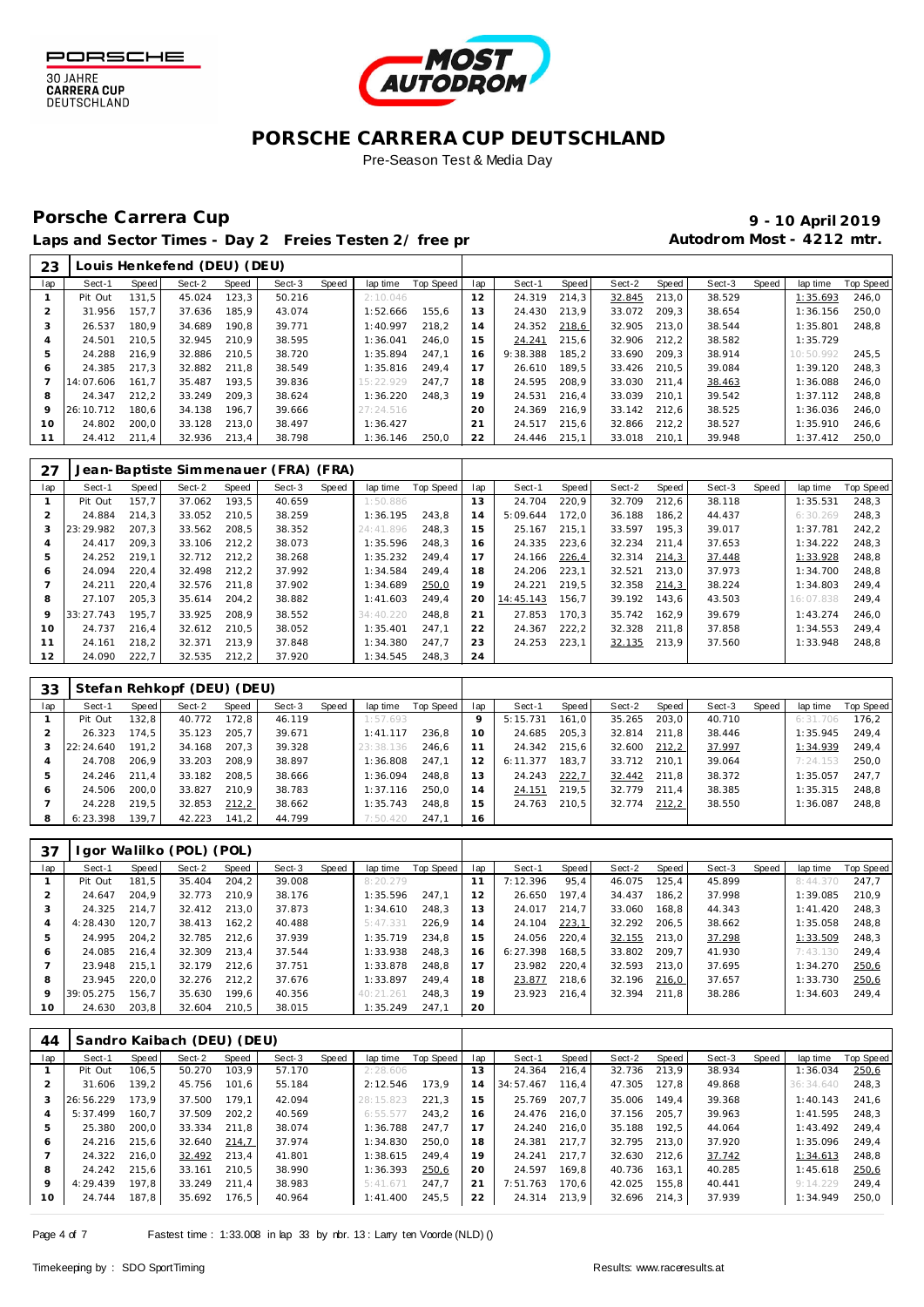



## Porsche Carrera Cup **10 April 2019 9 - 10 April 2019**

| 23  |           |       | Louis Henkefend (DEU) (DEU) |       |        |       |           |           |     |          |       |        |       |        |       |           |           |
|-----|-----------|-------|-----------------------------|-------|--------|-------|-----------|-----------|-----|----------|-------|--------|-------|--------|-------|-----------|-----------|
| lap | Sect-1    | Speed | Sect-2                      | Speed | Sect-3 | Speed | lap time  | Top Speed | lap | Sect-1   | Speed | Sect-2 | Speed | Sect-3 | Speed | lap time  | Top Speed |
|     | Pit Out   | 131.5 | 45.024                      | 123.3 | 50.216 |       | 2:10.046  |           | 12  | 24.319   | 214.3 | 32.845 | 213.0 | 38.529 |       | 1:35.693  | 246,0     |
|     | 31.956    | 157.7 | 37.636                      | 185.9 | 43.074 |       | 1:52.666  | 155.6     | 13  | 24.430   | 213.9 | 33.072 | 209.3 | 38.654 |       | : 36.156  | 250.0     |
|     | 26.537    | 180.9 | 34.689                      | 190.8 | 39.771 |       | 1:40.997  | 218.2     | 14  | 24.352   | 218,6 | 32.905 | 213.0 | 38.544 |       | 1:35.801  | 248.8     |
| 4   | 24.501    | 210.5 | 32.945                      | 210.9 | 38.595 |       | 1:36.041  | 246.0     | 15  | 24.241   | 215.6 | 32.906 | 212.2 | 38.582 |       | 1:35.729  |           |
| 5   | 24.288    | 216.9 | 32.886                      | 210.5 | 38.720 |       | 1:35.894  | 247.1     | 16  | 9:38.388 | 185.2 | 33.690 | 209.3 | 38.914 |       | 10:50.992 | 245.5     |
| 6   | 24.385    | 217.3 | 32.882                      | 211.8 | 38.549 |       | 1:35.816  | 249.4     |     | 26.610   | 189.5 | 33.426 | 210.5 | 39.084 |       | 1:39.120  | 248.3     |
|     | 14:07.606 | 161.7 | 35.487                      | 193.5 | 39.836 |       | 15:22.929 | 247.7     | 18  | 24.595   | 208.9 | 33.030 | 211.4 | 38.463 |       | 1:36.088  | 246.0     |
| 8   | 24.347    | 212.2 | 33.249                      | 209.3 | 38.624 |       | 1:36.220  | 248.3     | 19  | 24.531   | 216.4 | 33.039 | 210.1 | 39.542 |       | 1:37.112  | 248.8     |
| 9   | 26:10.712 | 180.6 | 34.138                      | 196.7 | 39.666 |       | 27:24.516 |           | 20  | 24.369   | 216.9 | 33.142 | 212.6 | 38.525 |       | 1:36.036  | 246.0     |
| 10  | 24.802    | 200.0 | 33.128                      | 213.0 | 38.497 |       | 1:36.427  |           | 21  | 24.517   | 215.6 | 32.866 | 212,2 | 38.527 |       | 1:35.910  | 246.6     |
|     | 24.412    | 211.4 | 32.936                      | 213.4 | 38.798 |       | 1:36.146  | 250.0     | 22  | 24.446   | 215.1 | 33.018 | 210.1 | 39.948 |       | 1:37.412  | 250.0     |

| 27  |           |       |        |       | Jean-Baptiste Simmenauer (FRA) (FRA) |       |           |           |     |           |       |        |       |        |       |           |                  |
|-----|-----------|-------|--------|-------|--------------------------------------|-------|-----------|-----------|-----|-----------|-------|--------|-------|--------|-------|-----------|------------------|
| lap | Sect-1    | Speed | Sect-2 | Speed | Sect-3                               | Speed | lap time  | Top Speed | lap | Sect-1    | Speed | Sect-2 | Speed | Sect-3 | Speed | lap time  | <b>Top Speed</b> |
|     | Pit Out   | 157.7 | 37.062 | 193.5 | 40.659                               |       | 1:50.886  |           | 3   | 24.704    | 220.9 | 32.709 | 212.6 | 38.118 |       | 1:35.531  | 248.3            |
|     | 24.884    | 214.3 | 33.052 | 210.5 | 38.259                               |       | 1:36.195  | 243.8     | 14  | 5:09.644  | 172.0 | 36.188 | 186.2 | 44.437 |       | 6:30.269  | 248.3            |
|     | 23:29.982 | 207.3 | 33.562 | 208.5 | 38.352                               |       | 24:41.896 | 248.3     | 15  | 25.167    | 215.1 | 33.597 | 195.3 | 39.017 |       | 1:37.781  | 242.2            |
| 4   | 24.417    | 209.3 | 33.106 | 212.2 | 38.073                               |       | 1:35.596  | 248.3     | 16  | 24.335    | 223,6 | 32.234 | 211.4 | 37.653 |       | 1:34.222  | 248.3            |
| 5   | 24.252    | 219.1 | 32.712 | 212.2 | 38.268                               |       | 1:35.232  | 249.4     |     | 24.166    | 226,4 | 32.314 | 214,3 | 37.448 |       | 1:33.928  | 248.8            |
| 6   | 24.094    | 220.4 | 32.498 | 212,2 | 37.992                               |       | 1:34.584  | 249.4     | 18  | 24.206    | 223,1 | 32.521 | 213.0 | 37.973 |       | 1:34.700  | 248.8            |
|     | 24.211    | 220.4 | 32.576 | 211.8 | 37.902                               |       | 1:34.689  | 250,0     | 19  | 24.221    | 219.5 | 32.358 | 214,3 | 38.224 |       | 1:34.803  | 249.4            |
| 8   | 27.107    | 205.3 | 35.614 | 204.2 | 38.882                               |       | 1:41.603  | 249.4     | 20  | 14:45.143 | 156.7 | 39.192 | 143.6 | 43.503 |       | 16:07.838 | 249.4            |
| 9   | 33:27.743 | 195.7 | 33.925 | 208.9 | 38.552                               |       | 34:40.220 | 248.8     | 21  | 27.853    | 170.3 | 35.742 | 162.9 | 39.679 |       | 1:43.274  | 246.0            |
| 10  | 24.737    | 216.4 | 32.612 | 210.5 | 38.052                               |       | 1:35.401  | 247.1     | 22  | 24.367    | 222,2 | 32.328 | 211.8 | 37.858 |       | 1:34.553  | 249.4            |
| 11  | 24.161    | 218.2 | 32.371 | 213.9 | 37.848                               |       | 1:34.380  | 247.7     | 23  | 24.253    | 223.1 | 32.135 | 213.9 | 37.560 |       | 1:33.948  | 248.8            |
| 12  | 24.090    | 222,7 | 32.535 | 212,2 | 37.920                               |       | 1:34.545  | 248,3     | 24  |           |       |        |       |        |       |           |                  |

| 33  |           |       | Stefan Rehkopf (DEU) (DEU) |       |        |       |           |           |                 |          |       |        |       |        |       |          |           |
|-----|-----------|-------|----------------------------|-------|--------|-------|-----------|-----------|-----------------|----------|-------|--------|-------|--------|-------|----------|-----------|
| lap | Sect-1    | Speed | Sect-2                     | Speed | Sect-3 | Speed | lap time  | Top Speed | lap             | Sect-1   | Speed | Sect-2 | Speed | Sect-3 | Speed | lap time | Top Speed |
|     | Pit Out   | 132.8 | 40.772                     | 172.8 | 46.119 |       | 1:57.693  |           | 9               | 5:15.731 | 161.0 | 35.265 | 203.0 | 40.710 |       | 6:31.706 | 176.2     |
|     | 26.323    | 174.5 | 35.123                     | 205.7 | 39.671 |       | 1:41.117  | 236.8     | 10 <sup>°</sup> | 24.685   | 205.3 | 32.814 | 211.8 | 38.446 |       | 1:35.945 | 249.4     |
| 3   | 22:24.640 | 191.2 | 34.168                     | 207.3 | 39.328 |       | 23:38.136 | 246.6     |                 | 24.342   | 215.6 | 32.600 | 212,2 | 37.997 |       | 1:34.939 | 249.4     |
|     | 24.708    | 206.9 | 33.203                     | 208.9 | 38.897 |       | 1:36.808  | 247.1     | 12              | 6:11.377 | 183.7 | 33.712 | 210.1 | 39.064 |       | 7:24.153 | 250.0     |
| 5   | 24.246    | 211.4 | 33.182                     | 208.5 | 38.666 |       | 1:36.094  | 248.8     | 13              | 24.243   | 222,7 | 32.442 | 211.8 | 38.372 |       | 1:35.057 | 247.7     |
| 6   | 24.506    | 200.0 | 33.827                     | 210.9 | 38.783 |       | 1:37.116  | 250.0     | 14              | 24.151   | 219,5 | 32.779 | 211.4 | 38.385 |       | 1:35.315 | 248.8     |
|     | 24.228    | 219.5 | 32.853                     | 212,2 | 38.662 |       | 1:35.743  | 248.8     | 15              | 24.763   | 210.5 | 32.774 | 212,2 | 38.550 |       | 1:36.087 | 248.8     |
| 8   | 6:23.398  | 139.7 | 42.223                     | 141.2 | 44.799 |       | 7:50.420  | 247.1     | 16              |          |       |        |       |        |       |          |           |

| 37             |           |       | I gor Walilko (POL) (POL) |       |        |       |           |           |     |          |       |        |       |        |       |          |           |
|----------------|-----------|-------|---------------------------|-------|--------|-------|-----------|-----------|-----|----------|-------|--------|-------|--------|-------|----------|-----------|
| lap            | Sect-1    | Speed | Sect-2                    | Speed | Sect-3 | Speed | lap time  | Top Speed | lap | Sect-1   | Speed | Sect-2 | Speed | Sect-3 | Speed | lap time | Top Speed |
|                | Pit Out   | 181.5 | 35.404                    | 204.2 | 39.008 |       | 8:20.279  |           | 11  | 7:12.396 | 95,4  | 46.075 | 125.4 | 45.899 |       | 8:44.370 | 247.7     |
|                | 24.647    | 204.9 | 32.773                    | 210.9 | 38.176 |       | 1:35.596  | 247.1     | 12  | 26.650   | 197.4 | 34.437 | 186.2 | 37.998 |       | 1:39.085 | 210.9     |
|                | 24.325    | 214.7 | 32.412                    | 213.0 | 37.873 |       | 1:34.610  | 248.3     | 13  | 24.017   | 214.7 | 33.060 | 168.8 | 44.343 |       | 1:41.420 | 248.3     |
| $\overline{4}$ | 4:28.430  | 120.7 | 38.413                    | 162.2 | 40.488 |       | 5:47.331  | 226.9     | 14  | 24.104   | 223,1 | 32.292 | 206.5 | 38.662 |       | 1:35.058 | 248.8     |
| 5              | 24.995    | 204.2 | 32.785                    | 212.6 | 37.939 |       | 1:35.719  | 234.8     | 15  | 24.056   | 220.4 | 32.155 | 213.0 | 37.298 |       | 1:33.509 | 248,3     |
| 6              | 24.085    | 216.4 | 32.309                    | 213.4 | 37.544 |       | 1:33.938  | 248.3     | 16  | 6:27.398 | 168.5 | 33.802 | 209.7 | 41.930 |       | 7:43.130 | 249.4     |
|                | 23.948    | 215.1 | 32.179                    | 212.6 | 37.751 |       | 1:33.878  | 248.8     |     | 23.982   | 220,4 | 32.593 | 213.0 | 37.695 |       | 1:34.270 | 250,6     |
| 8              | 23.945    | 220.0 | 32.276                    | 212.2 | 37.676 |       | 1:33.897  | 249.4     | 18  | 23.877   | 218.6 | 32.196 | 216,0 | 37.657 |       | 1:33.730 | 250,6     |
| $\circ$        | 39:05.275 | 156.7 | 35.630                    | 199.6 | 40.356 |       | 40:21.261 | 248.3     | 19  | 23.923   | 216.4 | 32.394 | 211.8 | 38.286 |       | 1:34.603 | 249.4     |
| 10             | 24.630    | 203.8 | 32.604                    | 210.5 | 38.015 |       | 1:35.249  | 247.1     | 20  |          |       |        |       |        |       |          |           |

| 44  |           |       | Sandro Kaibach (DEU) (DEU) |        |        |       |           |           |     |           |       |        |       |        |       |           |                  |
|-----|-----------|-------|----------------------------|--------|--------|-------|-----------|-----------|-----|-----------|-------|--------|-------|--------|-------|-----------|------------------|
| lap | Sect-1    | Speed | Sect-2                     | Speed  | Sect-3 | Speed | lap time  | Top Speed | lap | Sect-1    | Speed | Sect-2 | Speed | Sect-3 | Speed | lap time  | <b>Top Speed</b> |
|     | Pit Out   | 106.5 | 50.270                     | 103.9  | 57.170 |       | 2:28.606  |           | 13  | 24.364    | 216.4 | 32.736 | 213.9 | 38.934 |       | 1:36.034  | 250,6            |
|     | 31.606    | 139.2 | 45.756                     | 101.6  | 55.184 |       | 2:12.546  | 173.9     | 14  | 34:57.467 | 116.4 | 47.305 | 127.8 | 49.868 |       | 36:34.640 | 248.3            |
|     | 26:56.229 | 173.9 | 37.500                     | 179.1  | 42.094 |       | 28:15.823 | 221.3     | 15  | 25.769    | 207.7 | 35.006 | 149.4 | 39.368 |       | 1:40.143  | 241.6            |
| 4   | 5:37.499  | 160.7 | 37.509                     | 202.2  | 40.569 |       | 6:55.577  | 243.2     | 16  | 24.476    | 216.0 | 37.156 | 205.7 | 39.963 |       | 1:41.595  | 248.3            |
| 5   | 25.380    | 200.0 | 33.334                     | 211.8  | 38.074 |       | 1:36.788  | 247.7     |     | 24.240    | 216.0 | 35.188 | 192.5 | 44.064 |       | 1:43.492  | 249.4            |
| 6   | 24.216    | 215.6 | 32.640                     | 214.7  | 37.974 |       | 1:34.830  | 250.0     | 18  | 24.381    | 217.7 | 32.795 | 213.0 | 37.920 |       | 1:35.096  | 249.4            |
|     | 24.322    | 216.0 | 32.492                     | 213.4  | 41.801 |       | 1:38.615  | 249.4     | 19  | 24.241    | 217.7 | 32.630 | 212.6 | 37.742 |       | 1:34.613  | 248.8            |
| 8   | 24.242    | 215.6 | 33.161                     | 210.5  | 38.990 |       | 1:36.393  | 250,6     | 20  | 24.597    | 169.8 | 40.736 | 163.1 | 40.285 |       | 1:45.618  | 250,6            |
| 9   | 4:29.439  | 197.8 | 33.249                     | 211.4  | 38.983 |       | 5:41.671  | 247.7     | 21  | 7:51.763  | 170.6 | 42.025 | 155.8 | 40.441 |       | 9:14.229  | 249.4            |
| 10  | 24.744    | 187,8 | 35.692                     | 176, 5 | 40.964 |       | 1:41.400  | 245.5     | 22  | 24.314    | 213.9 | 32.696 | 214.3 | 37.939 |       | 1:34.949  | 250,0            |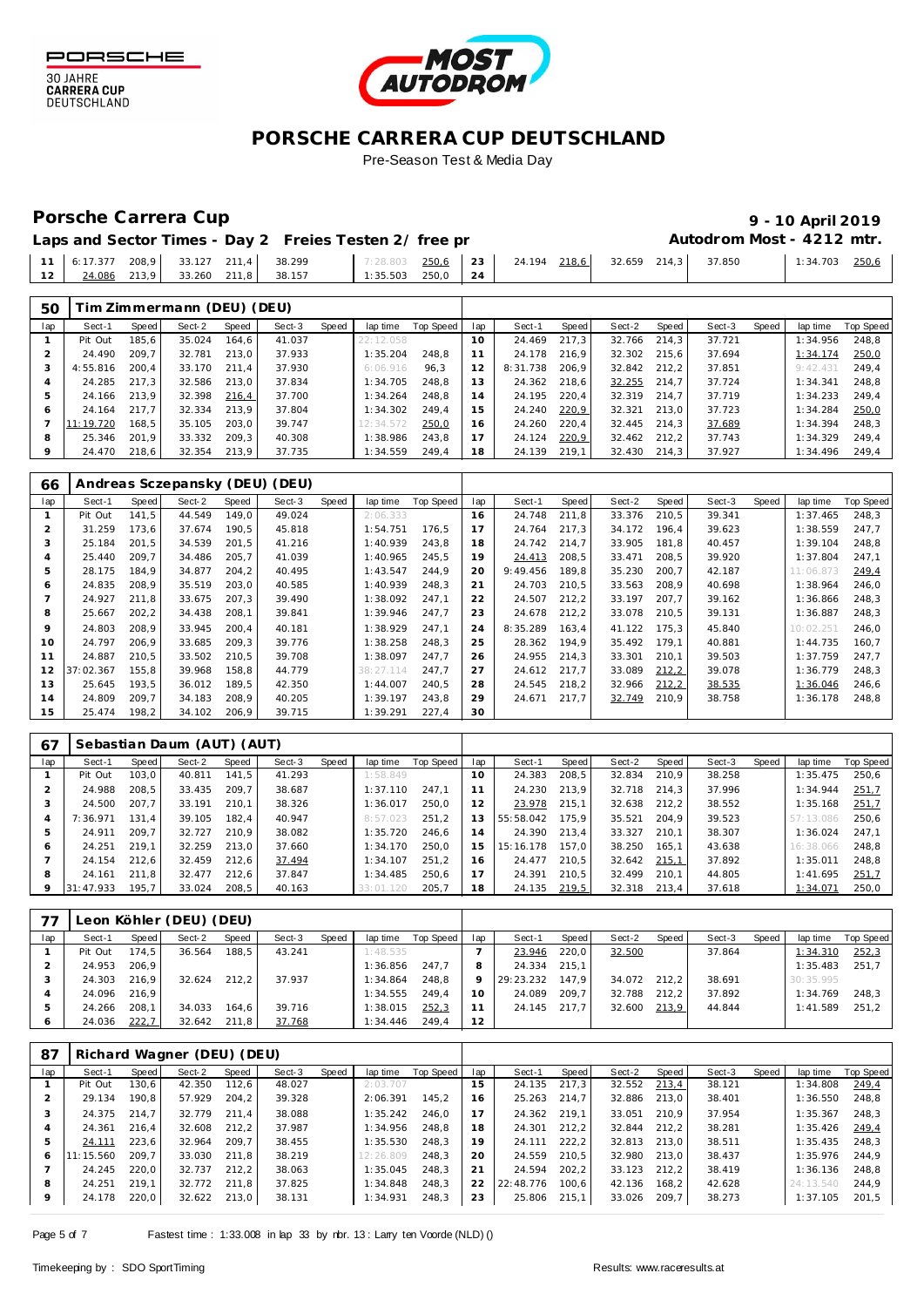



## Porsche Carrera Cup **19 - 10 April 2019**<br>
9 - 10 April 2019

|  |  | Laps and Sector Times - Day 2 Freies Testen 2/ free pr                                                   |  |  |  | Autodrom Most - 4212 mtr. |  |                |  |
|--|--|----------------------------------------------------------------------------------------------------------|--|--|--|---------------------------|--|----------------|--|
|  |  | 11   6:17.377 208,9   33.127 211,4   38.299   7:28.803 250,6   23   24.194 218,6   32.659 214,3   37.850 |  |  |  |                           |  | 1:34.703 250.6 |  |
|  |  | 12   $\frac{24.086}{24}$ 213,9   33.260 211,8   38.157   1:35.503 250,0   24                             |  |  |  |                           |  |                |  |

| 50  |           |       | Tim Zimmermann (DEU) (DEU) |       |        |       |           |           |     |          |       |        |       |        |       |          |           |
|-----|-----------|-------|----------------------------|-------|--------|-------|-----------|-----------|-----|----------|-------|--------|-------|--------|-------|----------|-----------|
| lap | Sect-1    | Speed | Sect-2                     | Speed | Sect-3 | Speed | lap time  | Top Speed | lap | Sect-1   | Speed | Sect-2 | Speed | Sect-3 | Speed | lap time | Top Speed |
|     | Pit Out   | 185.6 | 35.024                     | 164.6 | 41.037 |       | 22:12.058 |           | 10  | 24.469   | 217.3 | 32.766 | 214.3 | 37.721 |       | 1:34.956 | 248.8     |
|     | 24.490    | 209.7 | 32.781                     | 213.0 | 37.933 |       | 1:35.204  | 248.8     |     | 24.178   | 216.9 | 32.302 | 215.6 | 37.694 |       | 1:34.174 | 250,0     |
|     | 4:55.816  | 200.4 | 33.170                     | 211.4 | 37.930 |       | 6:06.916  | 96.3      | 12  | 8:31.738 | 206.9 | 32.842 | 212.2 | 37.851 |       | 9:42.43  | 249.4     |
|     | 24.285    | 217.3 | 32.586                     | 213.0 | 37.834 |       | 1:34.705  | 248.8     | 13  | 24.362   | 218,6 | 32.255 | 214.7 | 37.724 |       | 1:34.341 | 248.8     |
| 5   | 24.166    | 213.9 | 32.398                     | 216,4 | 37.700 |       | 1:34.264  | 248.8     | 14  | 24.195   | 220,4 | 32.319 | 214.7 | 37.719 |       | 1:34.233 | 249.4     |
| 6   | 24.164    | 217.7 | 32.334                     | 213.9 | 37.804 |       | 1:34.302  | 249.4     | 15  | 24.240   | 220,9 | 32.321 | 213.0 | 37.723 |       | 1:34.284 | 250,0     |
|     | 11:19.720 | 168,5 | 35.105                     | 203.0 | 39.747 |       | 12:34.572 | 250,0     | 16  | 24.260   | 220,4 | 32.445 | 214.3 | 37.689 |       | 1:34.394 | 248.3     |
| 8   | 25.346    | 201.9 | 33.332                     | 209.3 | 40.308 |       | 1:38.986  | 243.8     |     | 24.124   | 220,9 | 32.462 | 212.2 | 37.743 |       | 1:34.329 | 249.4     |
| 9   | 24.470    | 218.6 | 32.354                     | 213,9 | 37.735 |       | 1:34.559  | 249.4     | 18  | 24.139   | 219,1 | 32.430 | 214.3 | 37.927 |       | 1:34.496 | 249,4     |

| 66  |           |       |        |       | Andreas Sczepansky (DEU) (DEU) |       |           |           |     |          |       |        |       |        |       |           |                  |
|-----|-----------|-------|--------|-------|--------------------------------|-------|-----------|-----------|-----|----------|-------|--------|-------|--------|-------|-----------|------------------|
| lap | Sect-1    | Speed | Sect-2 | Speed | Sect-3                         | Speed | lap time  | Top Speed | lap | Sect-1   | Speed | Sect-2 | Speed | Sect-3 | Speed | lap time  | <b>Top Speed</b> |
|     | Pit Out   | 141.5 | 44.549 | 149.0 | 49.024                         |       | 2:06.333  |           | 16  | 24.748   | 211.8 | 33.376 | 210.5 | 39.341 |       | 1:37.465  | 248.3            |
|     | 31.259    | 173.6 | 37.674 | 190,5 | 45.818                         |       | 1:54.751  | 176,5     |     | 24.764   | 217,3 | 34.172 | 196.4 | 39.623 |       | 1:38.559  | 247,7            |
| 3   | 25.184    | 201,5 | 34.539 | 201,5 | 41.216                         |       | 1:40.939  | 243.8     | 18  | 24.742   | 214,7 | 33.905 | 181,8 | 40.457 |       | 1:39.104  | 248,8            |
| 4   | 25.440    | 209.7 | 34.486 | 205,7 | 41.039                         |       | 1:40.965  | 245.5     | 19  | 24.413   | 208,5 | 33.471 | 208.5 | 39.920 |       | 1:37.804  | 247.1            |
|     | 28.175    | 184,9 | 34.877 | 204,2 | 40.495                         |       | 1:43.547  | 244.9     | 20  | 9:49.456 | 189,8 | 35.230 | 200,7 | 42.187 |       | 11:06.873 | 249,4            |
| 6   | 24.835    | 208,9 | 35.519 | 203,0 | 40.585                         |       | 1:40.939  | 248,3     | 21  | 24.703   | 210,5 | 33.563 | 208,9 | 40.698 |       | 1:38.964  | 246,0            |
|     | 24.927    | 211.8 | 33.675 | 207,3 | 39.490                         |       | 1:38.092  | 247.1     | 22  | 24.507   | 212,2 | 33.197 | 207.7 | 39.162 |       | 1:36.866  | 248.3            |
| 8   | 25.667    | 202,2 | 34.438 | 208,1 | 39.841                         |       | 1:39.946  | 247.7     | 23  | 24.678   | 212,2 | 33.078 | 210.5 | 39.131 |       | 1:36.887  | 248.3            |
| 9   | 24.803    | 208,9 | 33.945 | 200,4 | 40.181                         |       | 1:38.929  | 247.1     | 24  | 8:35.289 | 163,4 | 41.122 | 175.3 | 45.840 |       | 10:02.251 | 246,0            |
| 10  | 24.797    | 206,9 | 33.685 | 209,3 | 39.776                         |       | 1:38.258  | 248,3     | 25  | 28.362   | 194.9 | 35.492 | 179.1 | 40.881 |       | 1:44.735  | 160,7            |
| 11  | 24.887    | 210,5 | 33.502 | 210,5 | 39.708                         |       | 1:38.097  | 247.7     | 26  | 24.955   | 214,3 | 33.301 | 210.1 | 39.503 |       | 1:37.759  | 247,7            |
| 12  | 37:02.367 | 155.8 | 39.968 | 158,8 | 44.779                         |       | 38:27.114 | 247.7     | 27  | 24.612   | 217,7 | 33.089 | 212,2 | 39.078 |       | 1:36.779  | 248,3            |
| 13  | 25.645    | 193,5 | 36.012 | 189,5 | 42.350                         |       | 1:44.007  | 240.5     | 28  | 24.545   | 218,2 | 32.966 | 212,2 | 38.535 |       | 1:36.046  | 246,6            |
| 14  | 24.809    | 209.7 | 34.183 | 208,9 | 40.205                         |       | 1:39.197  | 243.8     | 29  | 24.671   | 217,7 | 32.749 | 210,9 | 38.758 |       | 1:36.178  | 248,8            |
| 15  | 25.474    | 198,2 | 34.102 | 206,9 | 39.715                         |       | 1:39.291  | 227.4     | 30  |          |       |        |       |        |       |           |                  |

| 67  |           |       | Sebastian Daum (AUT) (AUT) |       |        |       |           |           |     |           |       |        |       |        |       |           |           |
|-----|-----------|-------|----------------------------|-------|--------|-------|-----------|-----------|-----|-----------|-------|--------|-------|--------|-------|-----------|-----------|
| lap | Sect-1    | Speed | Sect-2                     | Speed | Sect-3 | Speed | lap time  | Top Speed | lap | Sect-1    | Speed | Sect-2 | Speed | Sect-3 | Speed | lap time  | Top Speed |
|     | Pit Out   | 103,0 | 40.811                     | 141.5 | 41.293 |       | 1:58.849  |           | 10  | 24.383    | 208,5 | 32.834 | 210,9 | 38.258 |       | 1:35.475  | 250,6     |
|     | 24.988    | 208.5 | 33.435                     | 209.7 | 38.687 |       | 1:37.110  | 247.1     |     | 24.230    | 213.9 | 32.718 | 214.3 | 37.996 |       | 1:34.944  | 251.7     |
|     | 24.500    | 207.7 | 33.191                     | 210.1 | 38.326 |       | 1:36.017  | 250.0     | 12  | 23.978    | 215.1 | 32.638 | 212.2 | 38.552 |       | 1:35.168  | 251,7     |
|     | 7:36.971  | 131.4 | 39.105                     | 182.4 | 40.947 |       | 8:57.023  | 251.2     | 13  | 55:58.042 | 175.9 | 35.521 | 204.9 | 39.523 |       | 57:13.086 | 250.6     |
|     | 24.911    | 209.7 | 32.727                     | 210.9 | 38.082 |       | 1:35.720  | 246.6     | 14  | 24.390    | 213.4 | 33.327 | 210.1 | 38.307 |       | 1:36.024  | 247.1     |
| 6   | 24.251    | 219.1 | 32.259                     | 213.0 | 37.660 |       | 1:34.170  | 250.0     | 15  | 15:16.178 | 157.0 | 38.250 | 165.1 | 43.638 |       | 16:38.066 | 248.8     |
|     | 24.154    | 212.6 | 32.459                     | 212.6 | 37.494 |       | 1:34.107  | 251.2     | 16  | 24.477    | 210.5 | 32.642 | 215,1 | 37.892 |       | 1:35.011  | 248.8     |
| 8   | 24.161    | 211.8 | 32.477                     | 212.6 | 37.847 |       | 1:34.485  | 250.6     |     | 24.391    | 210.5 | 32.499 | 210.1 | 44.805 |       | 1:41.695  | 251,7     |
|     | 31:47.933 | 195.7 | 33.024                     | 208.5 | 40.163 |       | 33:01.120 | 205,7     | 18  | 24.135    | 219.5 | 32.318 | 213.4 | 37.618 |       | 1:34.071  | 250,0     |

| 77           |         |       | Leon Köhler (DEU) (DEU) |       |        |       |          |           |     |           |       |        |       |        |       |           |           |
|--------------|---------|-------|-------------------------|-------|--------|-------|----------|-----------|-----|-----------|-------|--------|-------|--------|-------|-----------|-----------|
| lap          | Sect-1  | Speed | Sect-2                  | Speed | Sect-3 | Speed | lap time | Top Speed | lap | Sect-1    | Speed | Sect-2 | Speed | Sect-3 | Speed | lap time  | Top Speed |
|              | Pit Out | 174,5 | 36.564                  | 188.5 | 43.241 |       | 1:48.535 |           |     | 23.946    | 220,0 | 32.500 |       | 37.864 |       | 1:34.310  | 252,3     |
|              | 24.953  | 206.9 |                         |       |        |       | 1:36.856 | 247.7     | 8   | 24.334    | 215.1 |        |       |        |       | 1:35.483  | 251.7     |
|              | 24.303  | 216,9 | 32.624                  | 212.2 | 37.937 |       | 1:34.864 | 248.8     |     | 29:23.232 | 147.9 | 34.072 | 212.2 | 38.691 |       | 30:35.995 |           |
|              | 24.096  | 216.9 |                         |       |        |       | 1:34.555 | 249.4     | 10  | 24.089    | 209.7 | 32.788 | 212.2 | 37.892 |       | 1:34.769  | 248.3     |
| 5            | 24.266  | 208.1 | 34.033                  | 164.6 | 39.716 |       | 1:38.015 | 252,3     |     | 24.145    | 217.7 | 32.600 | 213,9 | 44.844 |       | 1:41.589  | 251.2     |
| <sup>6</sup> | 24.036  | 222,7 | 32.642                  | 211.8 | 37.768 |       | 1:34.446 | 249.4     | 12  |           |       |        |       |        |       |           |           |

| 87  |           |       | Richard Wagner (DEU) (DEU) |       |        |       |           |           |                |           |       |        |       |        |       |           |           |
|-----|-----------|-------|----------------------------|-------|--------|-------|-----------|-----------|----------------|-----------|-------|--------|-------|--------|-------|-----------|-----------|
| lap | Sect-1    | Speed | Sect-2                     | Speed | Sect-3 | Speed | lap time  | Top Speed | lap            | Sect-1    | Speed | Sect-2 | Speed | Sect-3 | Speed | lap time  | Top Speed |
|     | Pit Out   | 130.6 | 42.350                     | 112.6 | 48.027 |       | 2:03.707  |           | 15             | 24.135    | 217,3 | 32.552 | 213,4 | 38.121 |       | 1:34.808  | 249.4     |
|     | 29.134    | 190.8 | 57.929                     | 204.2 | 39.328 |       | 2:06.391  | 145.2     | 16             | 25.263    | 214.7 | 32.886 | 213.0 | 38.401 |       | 1:36.550  | 248.8     |
|     | 24.375    | 214.7 | 32.779                     | 211.4 | 38.088 |       | 1:35.242  | 246.0     |                | 24.362    | 219.1 | 33.051 | 210.9 | 37.954 |       | 1:35.367  | 248.3     |
|     | 24.361    | 216.4 | 32.608                     | 212.2 | 37.987 |       | 1:34.956  | 248.8     | 18             | 24.301    | 212.2 | 32.844 | 212.2 | 38.281 |       | 1:35.426  | 249,4     |
| 5   | 24.111    | 223.6 | 32.964                     | 209.7 | 38.455 |       | 1:35.530  | 248.3     | 19             | 24.111    | 222,2 | 32.813 | 213.0 | 38.511 |       | 1:35.435  | 248.3     |
| 6   | 11:15.560 | 209.7 | 33.030                     | 211.8 | 38.219 |       | 12:26.809 | 248.3     | 20             | 24.559    | 210.5 | 32.980 | 213.0 | 38.437 |       | 1:35.976  | 244.9     |
|     | 24.245    | 220.0 | 32.737                     | 212.2 | 38.063 |       | 1:35.045  | 248.3     | 2 <sup>1</sup> | 24.594    | 202,2 | 33.123 | 212.2 | 38.419 |       | 1:36.136  | 248.8     |
| 8   | 24.251    | 219.1 | 32.772                     | 211.8 | 37.825 |       | 1:34.848  | 248.3     | 22             | 22:48.776 | 100.6 | 42.136 | 168.2 | 42.628 |       | 24:13.540 | 244.9     |
| 9   | 24.178    | 220,0 | 32.622                     | 213,0 | 38.131 |       | 1:34.931  | 248,3     | 23             | 25.806    | 215,1 | 33.026 | 209.7 | 38.273 |       | 1:37.105  | 201,5     |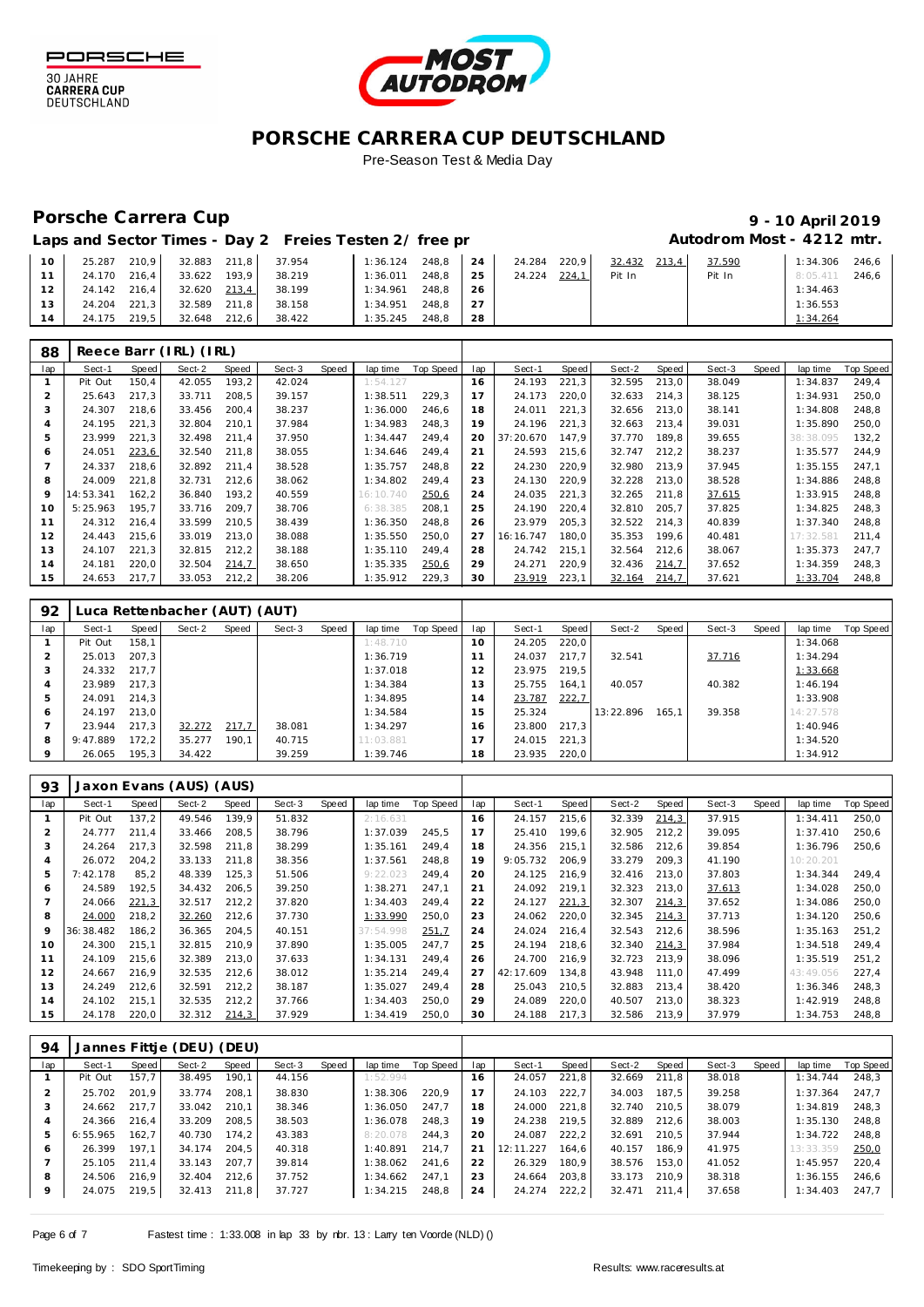

30 JAHRE<br>CARRERA CUP<br>DEUTSCHLAND



## **PORSCHE CARRERA CUP DEUTSCHLAND** Pre-Season Test & Media Day

## Porsche Carrera Cup **10 April 2019 9 - 10 April 2019**

| 10 <sup>°</sup> | 25.287 | 210.9 | 32.883 | 211.8 | 37.954 | 1:36.124 | 248.8 | 24 | 24.284 | 220.9 | 32.432<br>213,4 | 37.590 | 1:34.306 | 246,6 |
|-----------------|--------|-------|--------|-------|--------|----------|-------|----|--------|-------|-----------------|--------|----------|-------|
|                 | 24.170 | 216.4 | 33.622 | 193.9 | 38.219 | 1:36.011 | 248.8 | 25 | 24.224 | 224.1 | Pit In          | Pit In | 8:05.411 | 246.6 |
| 12              | 24.142 | 216,4 | 32.620 | 213,4 | 38.199 | 1:34.961 | 248.8 | 26 |        |       |                 |        | 1:34.463 |       |
| $12 -$          | 24.204 | 221.3 | 32.589 | 211.8 | 38.158 | 1:34.951 | 248.8 | 27 |        |       |                 |        | 1:36.553 |       |
| $4 \,$          | 24.175 | 219.5 | 32.648 | 212.6 | 38.422 | 1:35.245 | 248.8 | 28 |        |       |                 |        | 1:34.264 |       |

| 88  |           |       | Reece Barr (IRL) (IRL) |       |        |       |           |           |     |           |       |        |       |        |       |           |           |
|-----|-----------|-------|------------------------|-------|--------|-------|-----------|-----------|-----|-----------|-------|--------|-------|--------|-------|-----------|-----------|
| lap | Sect-1    | Speed | Sect-2                 | Speed | Sect-3 | Speed | lap time  | Top Speed | lap | Sect-1    | Speed | Sect-2 | Speed | Sect-3 | Speed | lap time  | Top Speed |
|     | Pit Out   | 150,4 | 42.055                 | 193,2 | 42.024 |       | 1:54.127  |           | 16  | 24.193    | 221,3 | 32.595 | 213,0 | 38.049 |       | 1:34.837  | 249,4     |
| 2   | 25.643    | 217,3 | 33.711                 | 208,5 | 39.157 |       | 1:38.511  | 229,3     |     | 24.173    | 220,0 | 32.633 | 214,3 | 38.125 |       | 1:34.931  | 250,0     |
| 3   | 24.307    | 218.6 | 33.456                 | 200,4 | 38.237 |       | 1:36.000  | 246,6     | 18  | 24.011    | 221,3 | 32.656 | 213,0 | 38.141 |       | 1:34.808  | 248,8     |
| 4   | 24.195    | 221.3 | 32.804                 | 210.1 | 37.984 |       | 1:34.983  | 248.3     | 19  | 24.196    | 221,3 | 32.663 | 213.4 | 39.031 |       | 1:35.890  | 250,0     |
| 5   | 23.999    | 221,3 | 32.498                 | 211,4 | 37.950 |       | 1:34.447  | 249.4     | 20  | 37:20.670 | 147.9 | 37.770 | 189.8 | 39.655 |       | 38:38.095 | 132,2     |
| 6   | 24.051    | 223,6 | 32.540                 | 211,8 | 38.055 |       | 1:34.646  | 249.4     | 21  | 24.593    | 215,6 | 32.747 | 212,2 | 38.237 |       | 1:35.577  | 244,9     |
|     | 24.337    | 218.6 | 32.892                 | 211,4 | 38.528 |       | 1:35.757  | 248.8     | 22  | 24.230    | 220,9 | 32.980 | 213.9 | 37.945 |       | 1:35.155  | 247.1     |
| 8   | 24.009    | 221.8 | 32.731                 | 212,6 | 38.062 |       | 1:34.802  | 249.4     | 23  | 24.130    | 220,9 | 32.228 | 213,0 | 38.528 |       | 1:34.886  | 248.8     |
| 9   | 14:53.341 | 162,2 | 36.840                 | 193,2 | 40.559 |       | 16:10.740 | 250,6     | 24  | 24.035    | 221,3 | 32.265 | 211.8 | 37.615 |       | 1:33.915  | 248,8     |
| 10  | 5:25.963  | 195.7 | 33.716                 | 209.7 | 38.706 |       | 6:38.385  | 208.1     | 25  | 24.190    | 220,4 | 32.810 | 205.7 | 37.825 |       | 1:34.825  | 248.3     |
| 11  | 24.312    | 216,4 | 33.599                 | 210,5 | 38.439 |       | 1:36.350  | 248,8     | 26  | 23.979    | 205,3 | 32.522 | 214,3 | 40.839 |       | 1:37.340  | 248,8     |
| 12  | 24.443    | 215.6 | 33.019                 | 213,0 | 38.088 |       | 1:35.550  | 250.0     | 27  | 16:16.747 | 180.0 | 35.353 | 199.6 | 40.481 |       | 17:32.581 | 211.4     |
| 13  | 24.107    | 221,3 | 32.815                 | 212,2 | 38.188 |       | 1:35.110  | 249,4     | 28  | 24.742    | 215,1 | 32.564 | 212,6 | 38.067 |       | 1:35.373  | 247,7     |
| 14  | 24.181    | 220,0 | 32.504                 | 214,7 | 38.650 |       | 1:35.335  | 250,6     | 29  | 24.271    | 220,9 | 32.436 | 214,7 | 37.652 |       | 1:34.359  | 248,3     |
| 15  | 24.653    | 217,7 | 33.053                 | 212,2 | 38.206 |       | 1:35.912  | 229.3     | 30  | 23.919    | 223,1 | 32.164 | 214,7 | 37.621 |       | 1:33.704  | 248,8     |

| 92  |          |       | Luca Rettenbacher (AUT) (AUT) |       |        |       |           |           |                 |        |       |           |       |        |       |           |                  |
|-----|----------|-------|-------------------------------|-------|--------|-------|-----------|-----------|-----------------|--------|-------|-----------|-------|--------|-------|-----------|------------------|
| lap | Sect-1   | Speed | Sect-2                        | Speed | Sect-3 | Speed | lap time  | Top Speed | lap             | Sect-1 | Speed | Sect-2    | Speed | Sect-3 | Speed | lap time  | <b>Top Speed</b> |
|     | Pit Out  | 158.1 |                               |       |        |       | 1:48.710  |           | 10 <sup>°</sup> | 24.205 | 220.0 |           |       |        |       | 1:34.068  |                  |
|     | 25.013   | 207.3 |                               |       |        |       | 1:36.719  |           |                 | 24.037 | 217.7 | 32.541    |       | 37.716 |       | 1:34.294  |                  |
| 3   | 24.332   | 217.7 |                               |       |        |       | 1:37.018  |           |                 | 23.975 | 219.5 |           |       |        |       | 1:33.668  |                  |
| 4   | 23.989   | 217.3 |                               |       |        |       | 1:34.384  |           | 3               | 25.755 | 164.1 | 40.057    |       | 40.382 |       | 1:46.194  |                  |
| 5   | 24.091   | 214.3 |                               |       |        |       | 1:34.895  |           | 4               | 23.787 | 222,7 |           |       |        |       | 1:33.908  |                  |
| 6   | 24.197   | 213.0 |                               |       |        |       | 1:34.584  |           | 15              | 25.324 |       | 13:22.896 | 165.1 | 39.358 |       | 14:27.578 |                  |
|     | 23.944   | 217.3 | 32.272                        | 217,7 | 38.081 |       | 1:34.297  |           | 16.             | 23.800 | 217.3 |           |       |        |       | 1:40.946  |                  |
| 8   | 9:47.889 | 172.2 | 35.277                        | 190.1 | 40.715 |       | 11:03.881 |           |                 | 24.015 | 221.3 |           |       |        |       | 1:34.520  |                  |
|     | 26.065   | 195,3 | 34.422                        |       | 39.259 |       | 1:39.746  |           | 18              | 23.935 | 220.0 |           |       |        |       | 1:34.912  |                  |

| 93  |           |       | Jaxon Evans (AUS) (AUS) |       |        |       |           |           |     |           |       |        |       |        |       |           |           |
|-----|-----------|-------|-------------------------|-------|--------|-------|-----------|-----------|-----|-----------|-------|--------|-------|--------|-------|-----------|-----------|
| lap | Sect-1    | Speed | Sect-2                  | Speed | Sect-3 | Speed | lap time  | Top Speed | lap | Sect-1    | Speed | Sect-2 | Speed | Sect-3 | Speed | lap time  | Top Speed |
|     | Pit Out   | 137,2 | 49.546                  | 139.9 | 51.832 |       | 2:16.631  |           | 16  | 24.157    | 215,6 | 32.339 | 214.3 | 37.915 |       | 1:34.411  | 250,0     |
|     | 24.777    | 211,4 | 33.466                  | 208,5 | 38.796 |       | 1:37.039  | 245,5     | 17  | 25.410    | 199,6 | 32.905 | 212,2 | 39.095 |       | 1:37.410  | 250,6     |
| 3   | 24.264    | 217.3 | 32.598                  | 211,8 | 38.299 |       | 1:35.161  | 249.4     | 18  | 24.356    | 215,1 | 32.586 | 212.6 | 39.854 |       | 1:36.796  | 250,6     |
| 4   | 26.072    | 204,2 | 33.133                  | 211,8 | 38.356 |       | 1:37.561  | 248.8     | 19  | 9:05.732  | 206,9 | 33.279 | 209,3 | 41.190 |       | 10:20.201 |           |
| 5   | 7:42.178  | 85,2  | 48.339                  | 125,3 | 51.506 |       | 9:22.023  | 249.4     | 20  | 24.125    | 216.9 | 32.416 | 213.0 | 37.803 |       | 1:34.344  | 249.4     |
| 6   | 24.589    | 192,5 | 34.432                  | 206,5 | 39.250 |       | 1:38.271  | 247.1     | 21  | 24.092    | 219,1 | 32.323 | 213,0 | 37.613 |       | 1:34.028  | 250,0     |
|     | 24.066    | 221,3 | 32.517                  | 212,2 | 37.820 |       | 1:34.403  | 249.4     | 22  | 24.127    | 221,3 | 32.307 | 214,3 | 37.652 |       | 1:34.086  | 250,0     |
| 8   | 24.000    | 218,2 | 32.260                  | 212,6 | 37.730 |       | 1:33.990  | 250,0     | 23  | 24.062    | 220,0 | 32.345 | 214,3 | 37.713 |       | 1:34.120  | 250,6     |
| 9   | 36:38.482 | 186,2 | 36.365                  | 204,5 | 40.151 |       | 37:54.998 | 251,7     | 24  | 24.024    | 216,4 | 32.543 | 212,6 | 38.596 |       | 1:35.163  | 251,2     |
| 10  | 24.300    | 215,1 | 32.815                  | 210,9 | 37.890 |       | 1:35.005  | 247.7     | 25  | 24.194    | 218,6 | 32.340 | 214,3 | 37.984 |       | 1:34.518  | 249,4     |
| 11  | 24.109    | 215.6 | 32.389                  | 213,0 | 37.633 |       | 1:34.131  | 249.4     | 26  | 24.700    | 216.9 | 32.723 | 213.9 | 38.096 |       | 1:35.519  | 251,2     |
| 12  | 24.667    | 216,9 | 32.535                  | 212,6 | 38.012 |       | 1:35.214  | 249.4     | 27  | 42:17.609 | 134,8 | 43.948 | 111,0 | 47.499 |       | 43:49.056 | 227,4     |
| 13  | 24.249    | 212,6 | 32.591                  | 212,2 | 38.187 |       | 1:35.027  | 249.4     | 28  | 25.043    | 210,5 | 32.883 | 213.4 | 38.420 |       | 1:36.346  | 248.3     |
| 14  | 24.102    | 215.1 | 32.535                  | 212,2 | 37.766 |       | 1:34.403  | 250.0     | 29  | 24.089    | 220,0 | 40.507 | 213,0 | 38.323 |       | 1:42.919  | 248.8     |
| 15  | 24.178    | 220,0 | 32.312                  | 214,3 | 37.929 |       | 1:34.419  | 250,0     | 30  | 24.188    | 217,3 | 32.586 | 213,9 | 37.979 |       | 1:34.753  | 248,8     |

| 94  |          |       | Jannes Fittje (DEU) (DEU) |       |        |       |          |           |     |           |       |        |       |        |       |           |           |
|-----|----------|-------|---------------------------|-------|--------|-------|----------|-----------|-----|-----------|-------|--------|-------|--------|-------|-----------|-----------|
| lap | Sect-1   | Speed | Sect-2                    | Speed | Sect-3 | Speed | lap time | Top Speed | lap | Sect-1    | Speed | Sect-2 | Speed | Sect-3 | Speed | lap time  | Top Speed |
|     | Pit Out  | 157.7 | 38.495                    | 190.1 | 44.156 |       | 1:52.994 |           | 6   | 24.057    | 221,8 | 32.669 | 211.8 | 38.018 |       | 1:34.744  | 248.3     |
| 2   | 25.702   | 201.9 | 33.774                    | 208.1 | 38.830 |       | 1:38.306 | 220.9     |     | 24.103    | 222.7 | 34.003 | 187.5 | 39.258 |       | 1:37.364  | 247.7     |
| 3   | 24.662   | 217.7 | 33.042                    | 210.1 | 38.346 |       | 1:36.050 | 247.7     | 18  | 24.000    | 221.8 | 32.740 | 210.5 | 38.079 |       | 1:34.819  | 248.3     |
|     | 24.366   | 216.4 | 33.209                    | 208.5 | 38.503 |       | 1:36.078 | 248.3     | 19  | 24.238    | 219.5 | 32.889 | 212.6 | 38.003 |       | 1:35.130  | 248.8     |
| 5   | 6:55.965 | 162.7 | 40.730                    | 174.2 | 43.383 |       | 8:20.078 | 244.3     | 20  | 24.087    | 222,2 | 32.691 | 210.5 | 37.944 |       | 1:34.722  | 248.8     |
| 6   | 26.399   | 197.1 | 34.174                    | 204.5 | 40.318 |       | 1:40.891 | 214.7     | 21  | 12:11.227 | 164.6 | 40.157 | 186.9 | 41.975 |       | 13:33.359 | 250,0     |
|     | 25.105   | 211.4 | 33.143                    | 207.7 | 39.814 |       | 1:38.062 | 241.6     | 22  | 26.329    | 180.9 | 38.576 | 153.0 | 41.052 |       | 1:45.957  | 220.4     |
| 8   | 24.506   | 216.9 | 32.404                    | 212.6 | 37.752 |       | 1:34.662 | 247.1     | 23  | 24.664    | 203,8 | 33.173 | 210.9 | 38.318 |       | 1:36.155  | 246.6     |
| 9   | 24.075   | 219,5 | 32.413                    | 211,8 | 37.727 |       | 1:34.215 | 248.8     | 24  | 24.274    | 222,2 | 32.471 | 211.4 | 37.658 |       | 1:34.403  | 247,7     |
|     |          |       |                           |       |        |       |          |           |     |           |       |        |       |        |       |           |           |